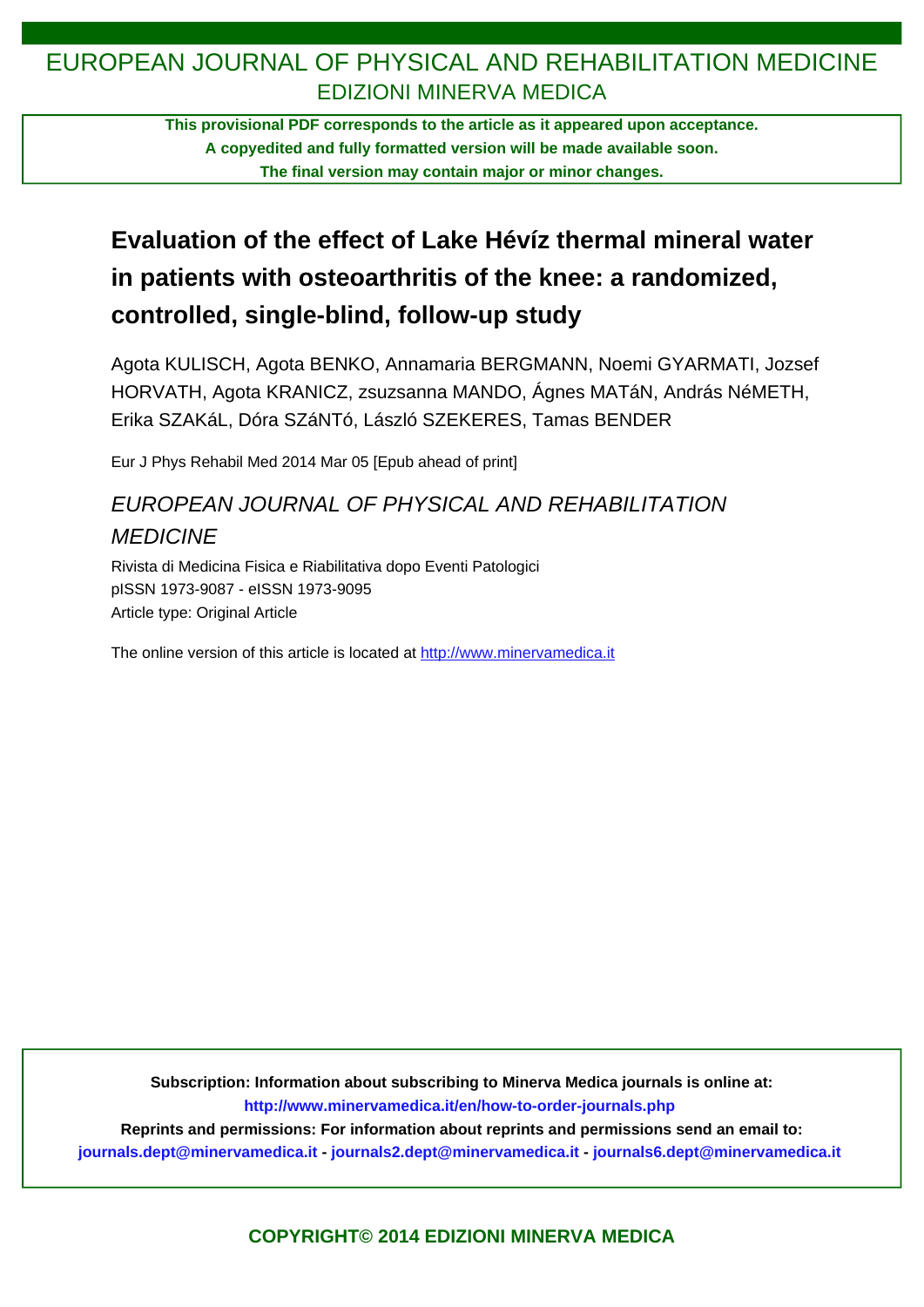## EUROPEAN JOURNAL OF PHYSICAL AND REHABILITATION MEDICINE EDIZIONI MINERVA MEDICA

**This provisional PDF corresponds to the article as it appeared upon acceptance. A copyedited and fully formatted version will be made available soon. The final version may contain major or minor changes.**

# **Evaluation of the effect of Lake Hévíz thermal mineral water in patients with osteoarthritis of the knee: a randomized, controlled, single-blind, follow-up study**

Agota KULISCH, Agota BENKO, Annamaria BERGMANN, Noemi GYARMATI, Jozsef HORVATH, Agota KRANICZ, zsuzsanna MANDO, Ágnes MATáN, András NéMETH, Erika SZAKáL, Dóra SZáNTó, László SZEKERES, Tamas BENDER

Eur J Phys Rehabil Med 2014 Mar 05 [Epub ahead of print]

## EUROPEAN JOURNAL OF PHYSICAL AND REHABILITATION **MEDICINE**

Rivista di Medicina Fisica e Riabilitativa dopo Eventi Patologici pISSN 1973-9087 - eISSN 1973-9095 Article type: Original Article

The online version of this article is located at http://www.minervamedica.it

**Subscription: Information about subscribing to Minerva Medica journals is online at: <http://www.minervamedica.it/en/how-to-order-journals.php>**

**Reprints and permissions: For information about reprints and permissions send an email to:**

**[journals.dept@minervamedica.it](mailto:journals.dept@minervamedica.it) - [journals2.dept@minervamedica.it](mailto:journals2.dept@minervamedica.it) - [journals6.dept@minervamedica.it](mailto:journals6.dept@minervamedica.it)**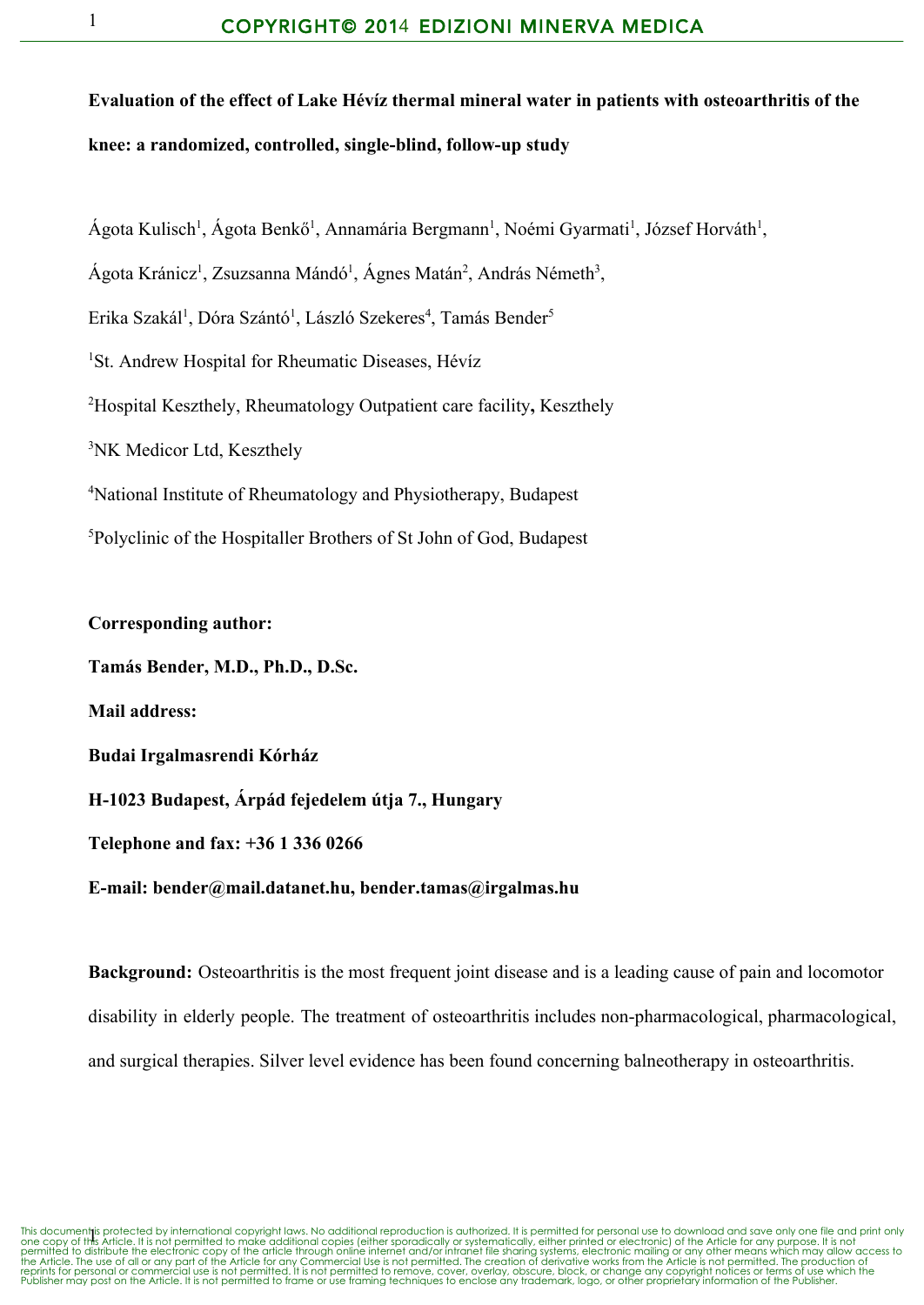**Evaluation of the effect of Lake Hévíz thermal mineral water in patients with osteoarthritis of the knee: a randomized, controlled, singleblind, followup study**

Ágota Kulisch<sup>1</sup>, Ágota Benkő<sup>1</sup>, Annamária Bergmann<sup>1</sup>, Noémi Gyarmati<sup>1</sup>, József Horváth<sup>1</sup>,

Ágota Kránicz<sup>1</sup>, Zsuzsanna Mándó<sup>1</sup>, Ágnes Matán<sup>2</sup>, András Németh<sup>3</sup>,

Erika Szakál<sup>1</sup>, Dóra Szántó<sup>1</sup>, László Szekeres<sup>4</sup>, Tamás Bender<sup>5</sup>

<sup>1</sup>St. Andrew Hospital for Rheumatic Diseases, Hévíz

<sup>2</sup>Hospital Keszthely, Rheumatology Outpatient care facility**,** Keszthely

<sup>3</sup>NK Medicor Ltd, Keszthely

<sup>4</sup>National Institute of Rheumatology and Physiotherapy, Budapest

<sup>5</sup>Polyclinic of the Hospitaller Brothers of St John of God, Budapest

**Corresponding author: Tamás Bender, M.D., Ph.D., D.Sc. Mail address: Budai Irgalmasrendi Kórház H1023 Budapest, Árpád fejedelem útja 7., Hungary Telephone and fax: +36 1 336 0266 Email: [bender@mail.datanet.hu,](mailto:bender@mail.datanet.hu) [bender.tamas@irgalmas.hu](mailto:bender.tamas@irgalmas.hu)**

**Background:** Osteoarthritis is the most frequent joint disease and is a leading cause of pain and locomotor disability in elderly people. The treatment of osteoarthritis includes non-pharmacological, pharmacological, and surgical therapies. Silver level evidence has been found concerning balneotherapy in osteoarthritis.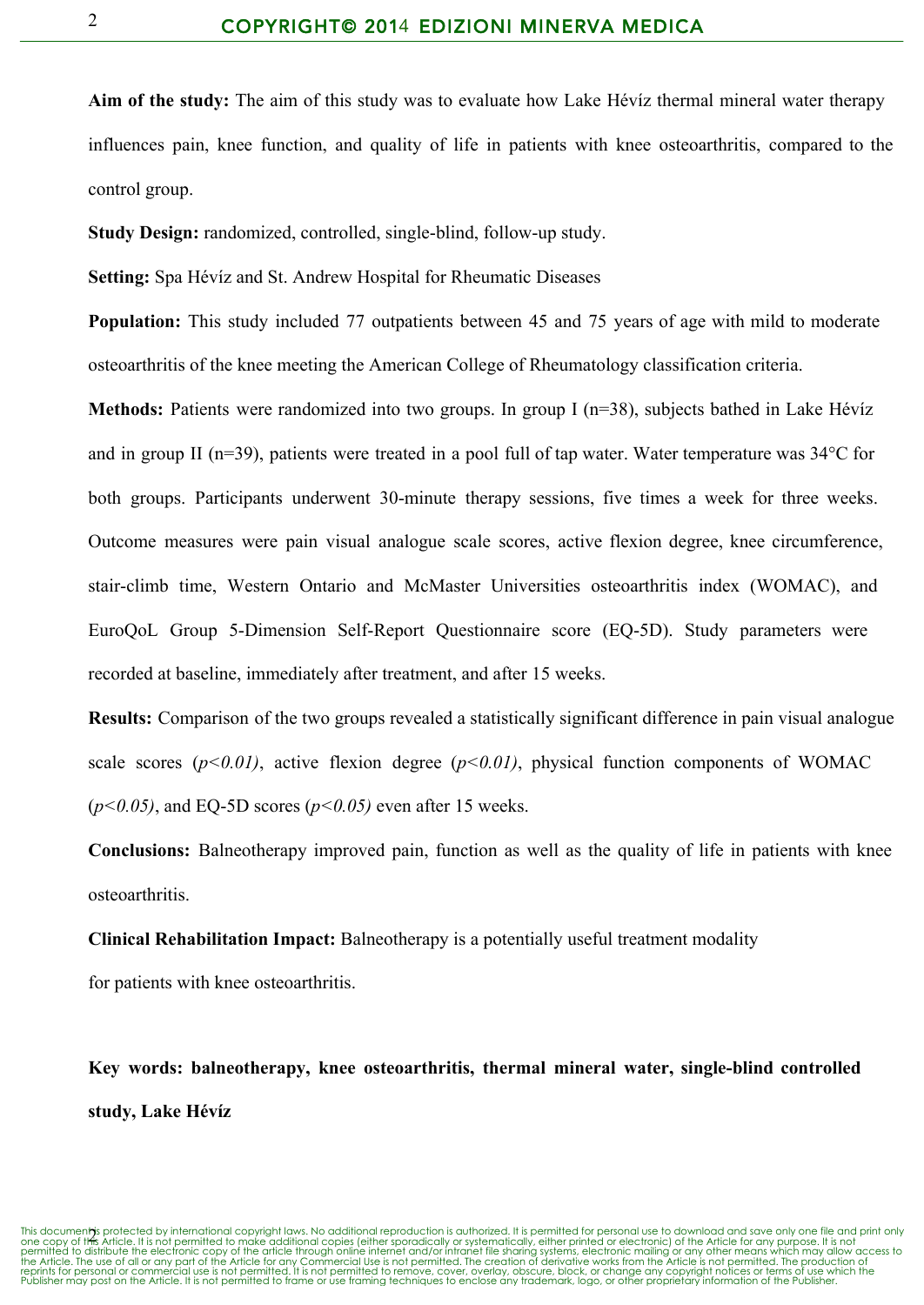**Aim of the study:** The aim of this study was to evaluate how Lake Hévíz thermal mineral water therapy influences pain, knee function, and quality of life in patients with knee osteoarthritis, compared to the control group.

**Study Design:** randomized, controlled, single-blind, follow-up study.

**Setting:** Spa Hévíz and St. Andrew Hospital for Rheumatic Diseases

**Population:** This study included 77 outpatients between 45 and 75 years of age with mild to moderate osteoarthritis of the knee meeting the American College of Rheumatology classification criteria.

**Methods:** Patients were randomized into two groups. In group I (n=38), subjects bathed in Lake Hévíz and in group II (n=39), patients were treated in a pool full of tap water. Water temperature was 34°C for both groups. Participants underwent 30-minute therapy sessions, five times a week for three weeks. Outcome measures were pain visual analogue scale scores, active flexion degree, knee circumference, stair-climb time, Western Ontario and McMaster Universities osteoarthritis index (WOMAC), and EuroQoL Group 5-Dimension Self-Report Questionnaire score (EQ-5D). Study parameters were recorded at baseline, immediately after treatment, and after 15 weeks.

**Results:** Comparison of the two groups revealed a statistically significant difference in pain visual analogue scale scores  $(p<0.01)$ , active flexion degree  $(p<0.01)$ , physical function components of WOMAC  $(p<0.05)$ , and EQ-5D scores  $(p<0.05)$  even after 15 weeks.

**Conclusions:** Balneotherapy improved pain, function as well as the quality of life in patients with knee osteoarthritis.

**Clinical Rehabilitation Impact:** Balneotherapy is a potentially useful treatment modality

for patients with knee osteoarthritis.

**Key words: balneotherapy, knee osteoarthritis, thermal mineral water, singleblind controlled study, Lake Hévíz**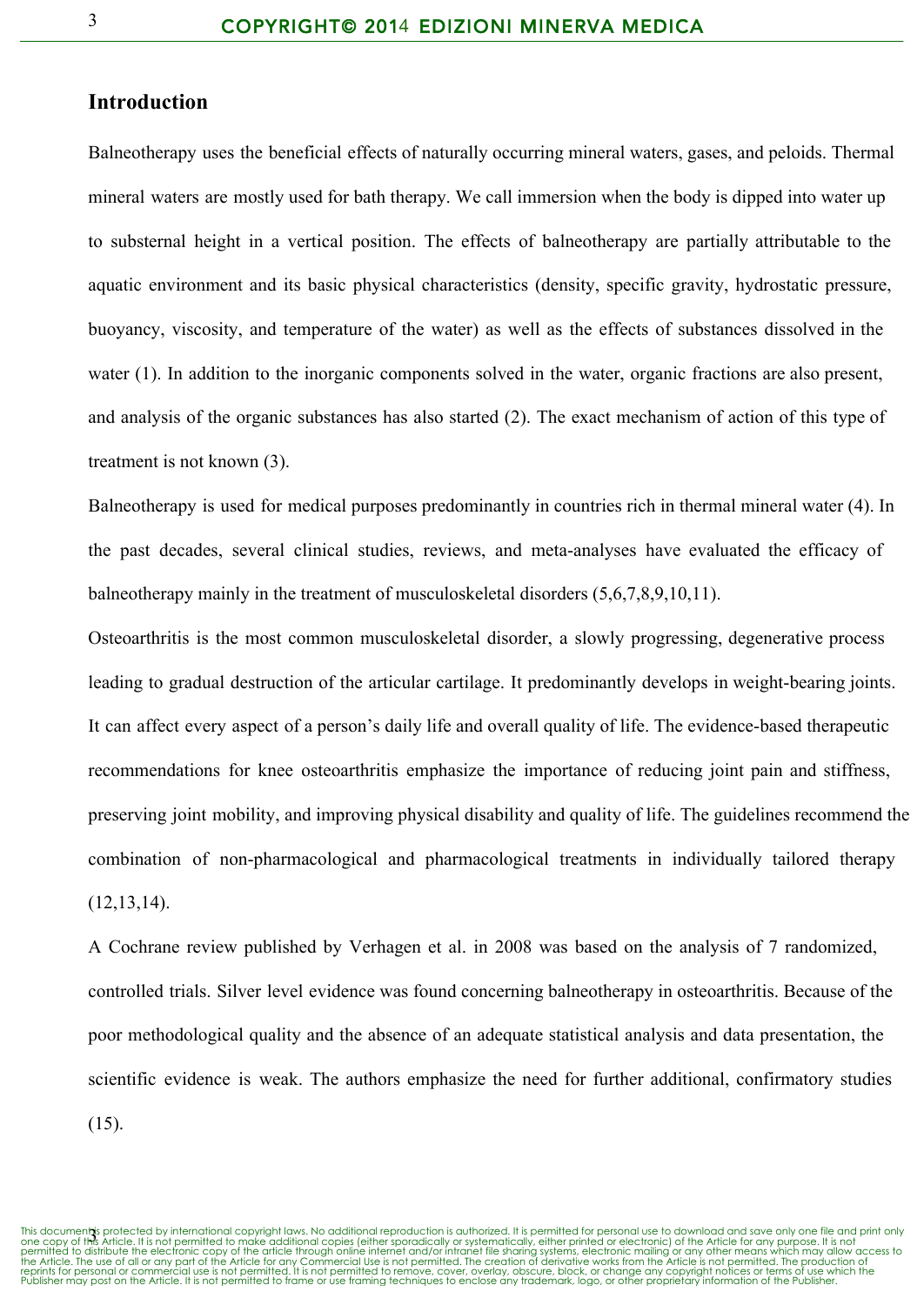### **Introduction**

Balneotherapy uses the beneficial effects of naturally occurring mineral waters, gases, and peloids. Thermal mineral waters are mostly used for bath therapy. We call immersion when the body is dipped into water up to substernal height in a vertical position. The effects of balneotherapy are partially attributable to the aquatic environment and its basic physical characteristics (density, specific gravity, hydrostatic pressure, buoyancy, viscosity, and temperature of the water) as well as the effects of substances dissolved in the water (1). In addition to the inorganic components solved in the water, organic fractions are also present, and analysis of the organic substances has also started (2). The exact mechanism of action of this type of treatment is not known (3).

Balneotherapy is used for medical purposes predominantly in countries rich in thermal mineral water (4). In the past decades, several clinical studies, reviews, and meta-analyses have evaluated the efficacy of balneotherapy mainly in the treatment of musculoskeletal disorders (5,6,7,8,9,10,11).

Osteoarthritis is the most common musculoskeletal disorder, a slowly progressing, degenerative process leading to gradual destruction of the articular cartilage. It predominantly develops in weight-bearing joints. It can affect every aspect of a person's daily life and overall quality of life. The evidence-based therapeutic recommendations for knee osteoarthritis emphasize the importance of reducing joint pain and stiffness, preserving joint mobility, and improving physical disability and quality of life. The guidelines recommend the combination of non-pharmacological and pharmacological treatments in individually tailored therapy (12,13,14).

A Cochrane review published by Verhagen et al. in 2008 was based on the analysis of 7 randomized, controlled trials. Silver level evidence was found concerning balneotherapy in osteoarthritis. Because of the poor methodological quality and the absence of an adequate statistical analysis and data presentation, the scientific evidence is weak. The authors emphasize the need for further additional, confirmatory studies

(15).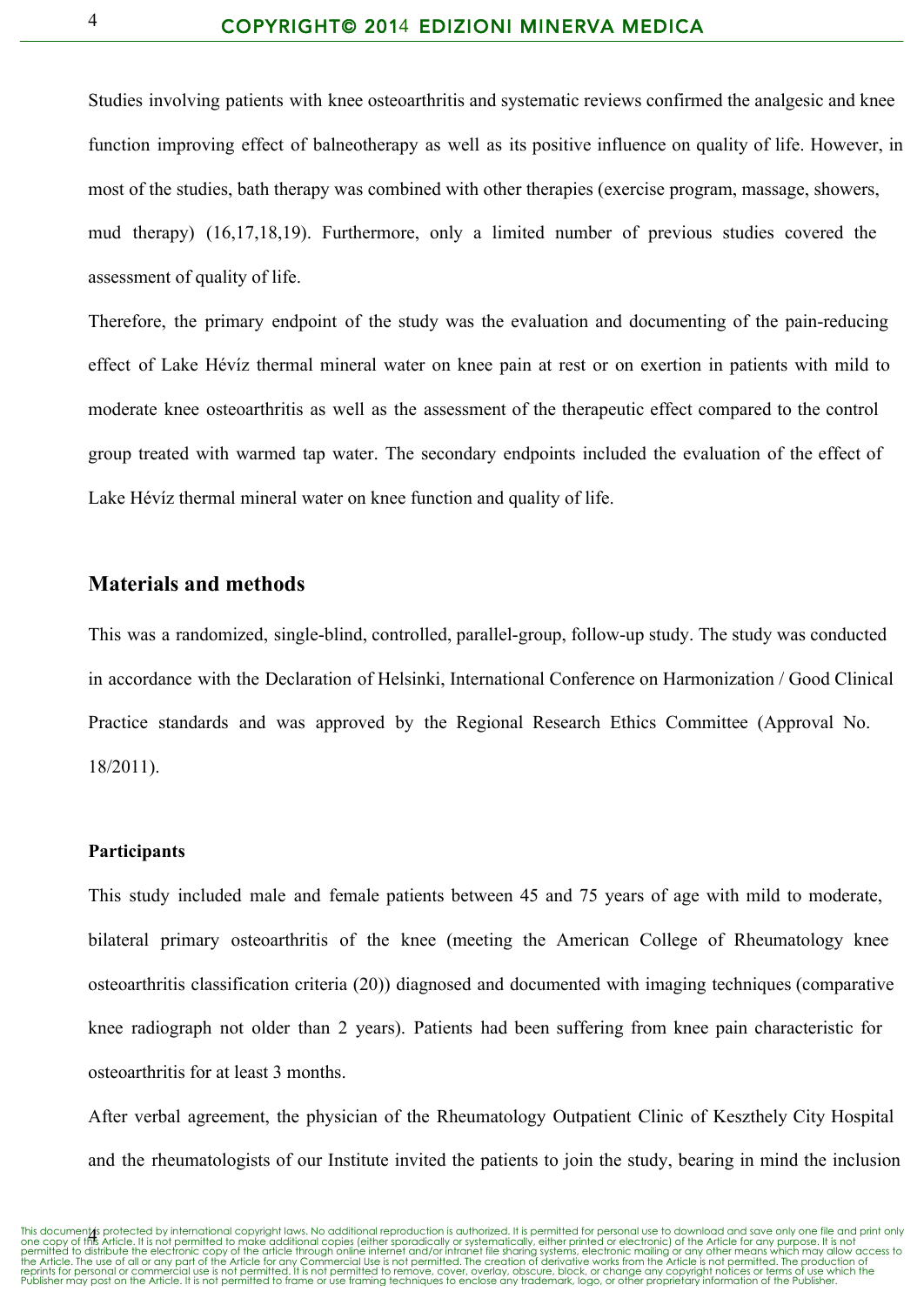Studies involving patients with knee osteoarthritis and systematic reviews confirmed the analgesic and knee function improving effect of balneotherapy as well as its positive influence on quality of life. However, in most of the studies, bath therapy was combined with other therapies (exercise program, massage, showers, mud therapy) (16,17,18,19). Furthermore, only a limited number of previous studies covered the assessment of quality of life.

Therefore, the primary endpoint of the study was the evaluation and documenting of the pain-reducing effect of Lake Hévíz thermal mineral water on knee pain at rest or on exertion in patients with mild to moderate knee osteoarthritis as well as the assessment of the therapeutic effect compared to the control group treated with warmed tap water. The secondary endpoints included the evaluation of the effect of Lake Hévíz thermal mineral water on knee function and quality of life.

## **Materials and methods**

This was a randomized, single-blind, controlled, parallel-group, follow-up study. The study was conducted in accordance with the Declaration of Helsinki, International Conference on Harmonization / Good Clinical Practice standards and was approved by the Regional Research Ethics Committee (Approval No. 18/2011).

#### **Participants**

This study included male and female patients between 45 and 75 years of age with mild to moderate, bilateral primary osteoarthritis of the knee (meeting the American College of Rheumatology knee osteoarthritis classification criteria (20)) diagnosed and documented with imaging techniques (comparative knee radiograph not older than 2 years). Patients had been suffering from knee pain characteristic for osteoarthritis for at least 3 months.

After verbal agreement, the physician of the Rheumatology Outpatient Clinic of Keszthely City Hospital and the rheumatologists of our Institute invited the patients to join the study, bearing in mind the inclusion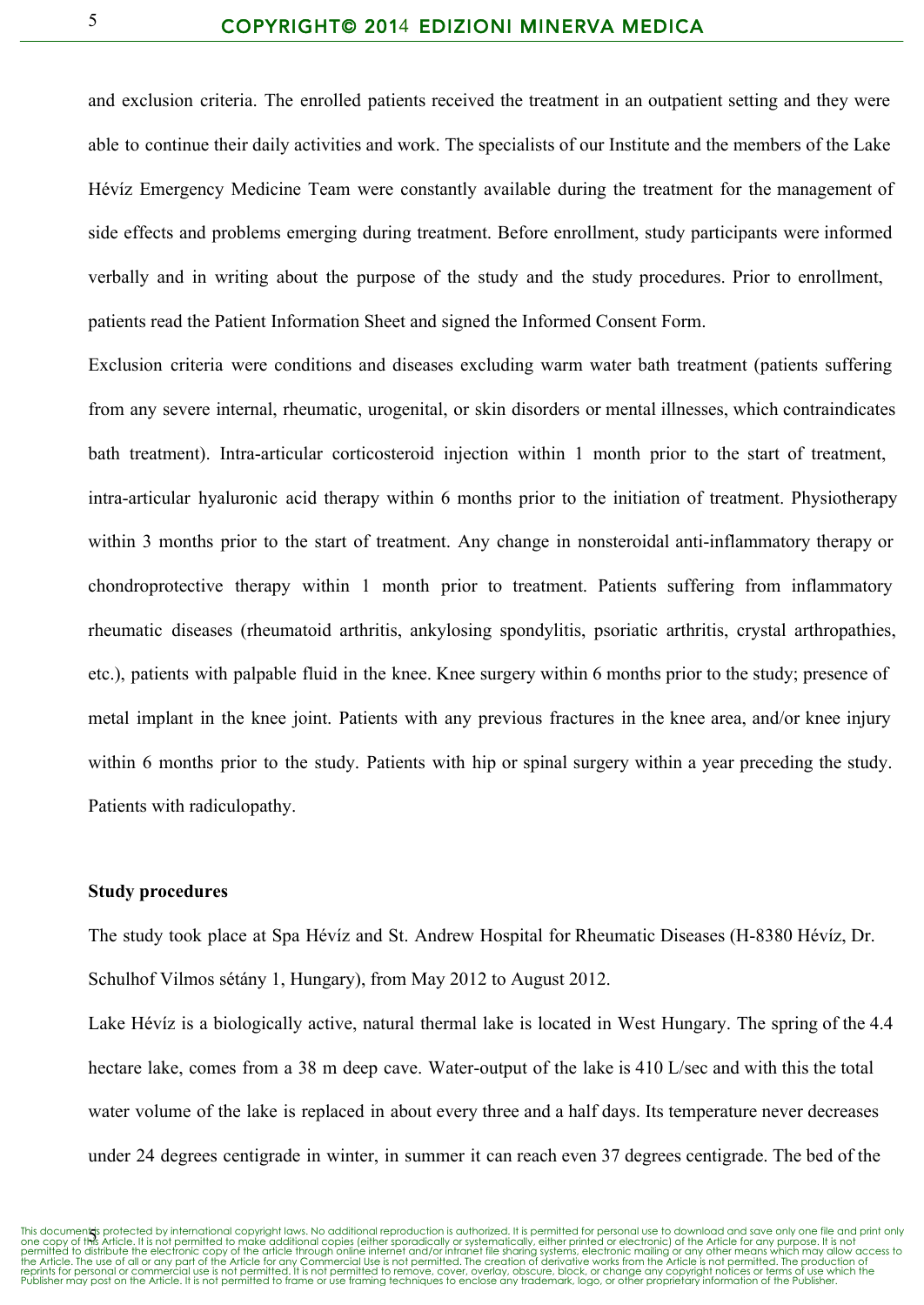and exclusion criteria. The enrolled patients received the treatment in an outpatient setting and they were able to continue their daily activities and work. The specialists of our Institute and the members of the Lake Hévíz Emergency Medicine Team were constantly available during the treatment for the management of side effects and problems emerging during treatment. Before enrollment, study participants were informed verbally and in writing about the purpose of the study and the study procedures. Prior to enrollment, patients read the Patient Information Sheet and signed the Informed Consent Form.

Exclusion criteria were conditions and diseases excluding warm water bath treatment (patients suffering from any severe internal, rheumatic, urogenital, or skin disorders or mental illnesses, which contraindicates bath treatment). Intra-articular corticosteroid injection within 1 month prior to the start of treatment, intra-articular hyaluronic acid therapy within 6 months prior to the initiation of treatment. Physiotherapy within 3 months prior to the start of treatment. Any change in nonsteroidal anti-inflammatory therapy or chondroprotective therapy within 1 month prior to treatment. Patients suffering from inflammatory rheumatic diseases (rheumatoid arthritis, ankylosing spondylitis, psoriatic arthritis, crystal arthropathies, etc.), patients with palpable fluid in the knee. Knee surgery within 6 months prior to the study; presence of metal implant in the knee joint. Patients with any previous fractures in the knee area, and/or knee injury within 6 months prior to the study. Patients with hip or spinal surgery within a year preceding the study. Patients with radiculopathy.

#### **Study procedures**

The study took place at Spa Hévíz and St. Andrew Hospital for Rheumatic Diseases (H-8380 Hévíz, Dr. Schulhof Vilmos sétány 1, Hungary), from May 2012 to August 2012.

Lake Hévíz is a biologically active, natural thermal lake is located in West Hungary. The spring of the 4.4 hectare lake, comes from a 38 m deep cave. Water-output of the lake is 410 L/sec and with this the total water volume of the lake is replaced in about every three and a half days. Its temperature never decreases under 24 degrees centigrade in winter, in summer it can reach even 37 degrees centigrade. The bed of the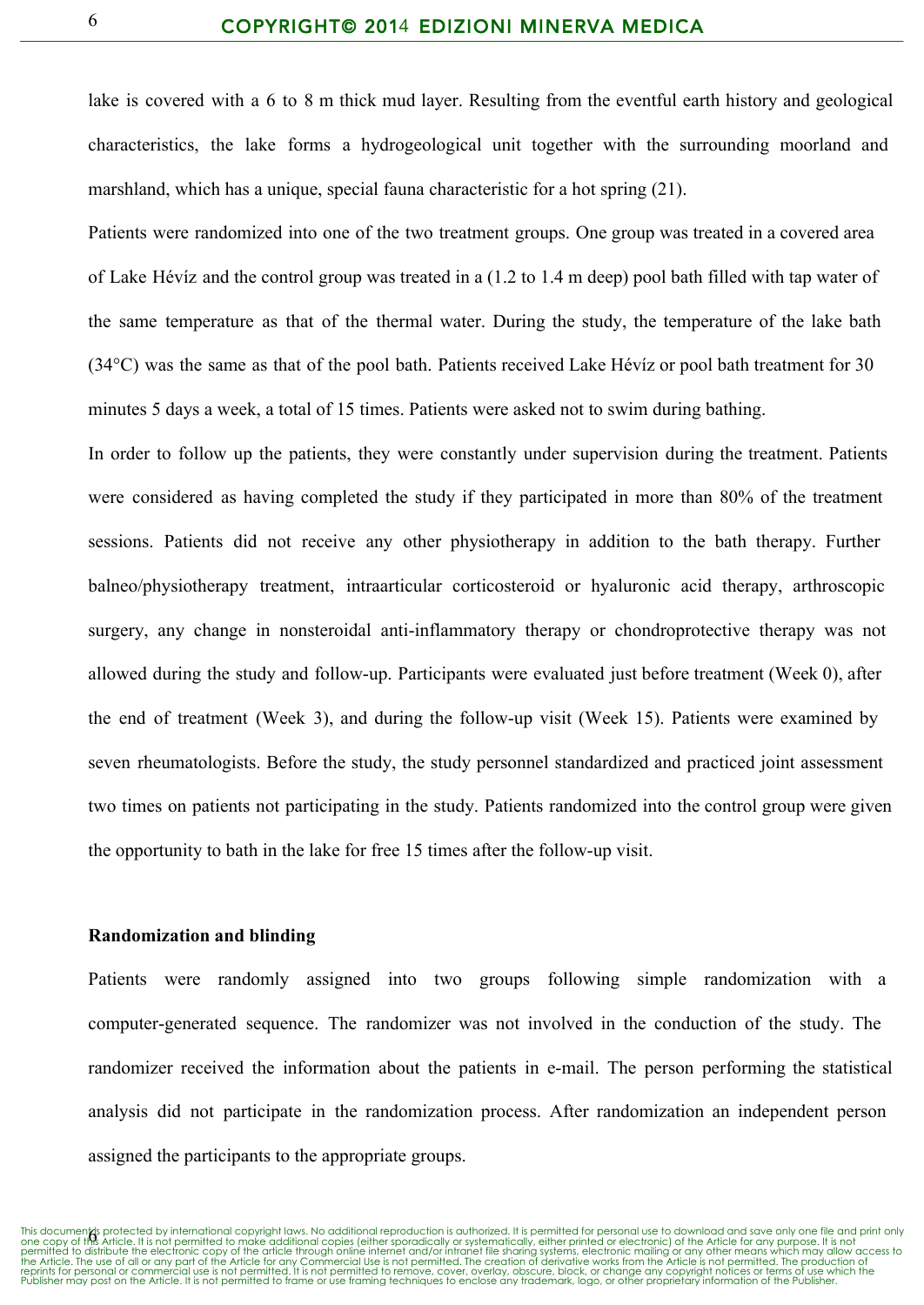lake is covered with a 6 to 8 m thick mud layer. Resulting from the eventful earth history and geological characteristics, the lake forms a hydrogeological unit together with the surrounding moorland and marshland, which has a unique, special fauna characteristic for a hot spring (21).

Patients were randomized into one of the two treatment groups. One group was treated in a covered area of Lake Hévíz and the control group was treated in a (1.2 to 1.4 m deep) pool bath filled with tap water of the same temperature as that of the thermal water. During the study, the temperature of the lake bath (34°C) was the same as that of the pool bath. Patients received Lake Hévíz or pool bath treatment for 30 minutes 5 days a week, a total of 15 times. Patients were asked not to swim during bathing.

In order to follow up the patients, they were constantly under supervision during the treatment. Patients were considered as having completed the study if they participated in more than 80% of the treatment sessions. Patients did not receive any other physiotherapy in addition to the bath therapy. Further balneo/physiotherapy treatment, intraarticular corticosteroid or hyaluronic acid therapy, arthroscopic surgery, any change in nonsteroidal anti-inflammatory therapy or chondroprotective therapy was not allowed during the study and follow-up. Participants were evaluated just before treatment (Week 0), after the end of treatment (Week 3), and during the follow-up visit (Week 15). Patients were examined by seven rheumatologists. Before the study, the study personnel standardized and practiced joint assessment two times on patients not participating in the study. Patients randomized into the control group were given the opportunity to bath in the lake for free 15 times after the followup visit.

#### **Randomization and blinding**

Patients were randomly assigned into two groups following simple randomization with a computer-generated sequence. The randomizer was not involved in the conduction of the study. The randomizer received the information about the patients in e-mail. The person performing the statistical analysis did not participate in the randomization process. After randomization an independent person assigned the participants to the appropriate groups.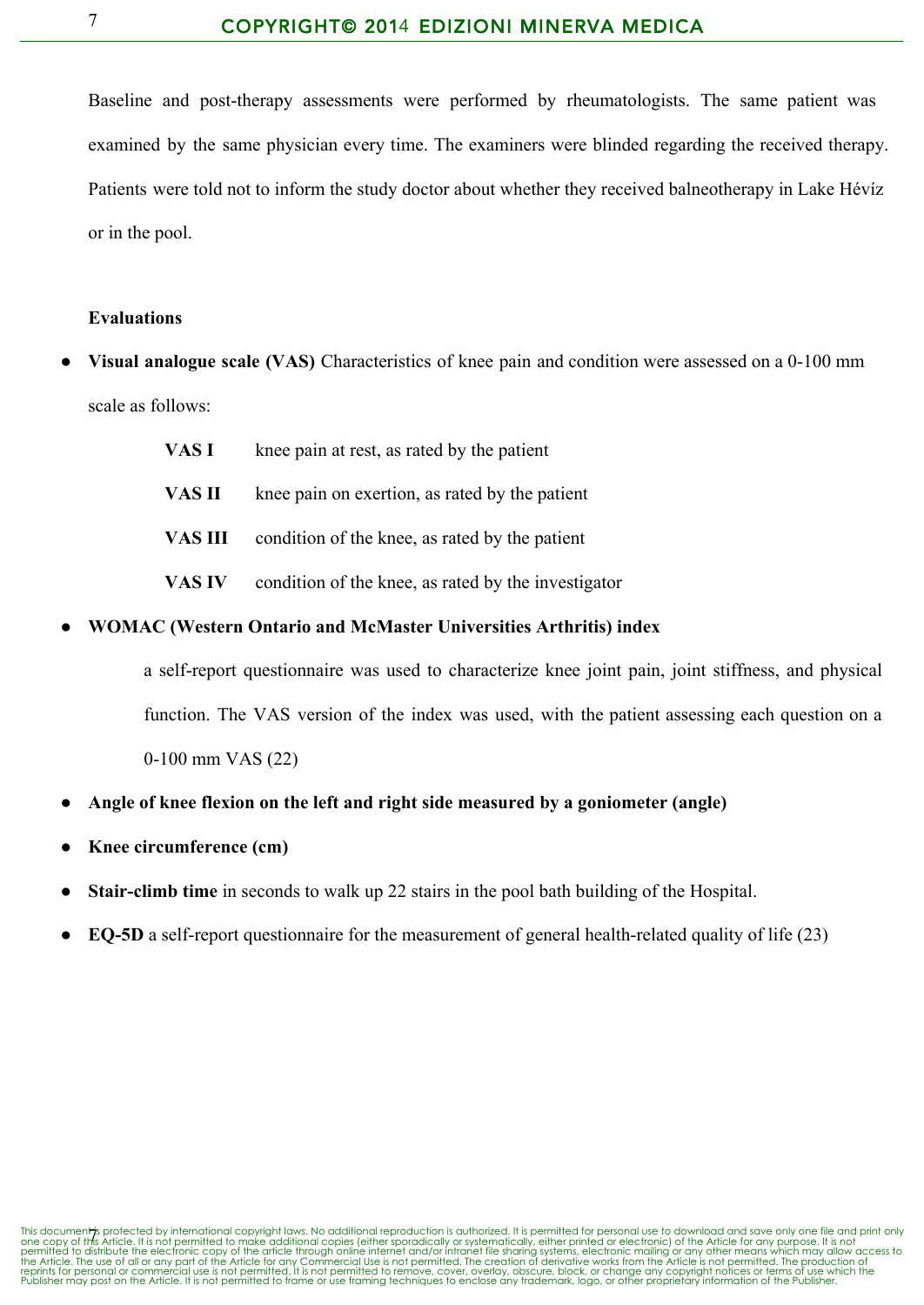Baseline and post-therapy assessments were performed by rheumatologists. The same patient was examined by the same physician every time. The examiners were blinded regarding the received therapy. Patients were told not to inform the study doctor about whether they received balneotherapy in Lake Hévíz or in the pool.

#### **Evaluations**

- **Visual analogue scale (VAS)** Characteristics of knee pain and condition were assessed on a 0-100 mm scale as follows:
	- **VAS I** knee pain at rest, as rated by the patient
	- **VAS II** knee pain on exertion, as rated by the patient
	- **VAS III** condition of the knee, as rated by the patient
	- **VAS IV** condition of the knee, as rated by the investigator

#### ● **WOMAC (Western Ontario and McMaster Universities Arthritis) index**

a self-report questionnaire was used to characterize knee joint pain, joint stiffness, and physical function. The VAS version of the index was used, with the patient assessing each question on a 0-100 mm VAS (22)

- **Angle of knee flexion on the left and right side measured by a goniometer (angle)**
- **Knee circumference (cm)**
- **Stair-climb time** in seconds to walk up 22 stairs in the pool bath building of the Hospital.
- **EQ-5D** a self-report questionnaire for the measurement of general health-related quality of life (23)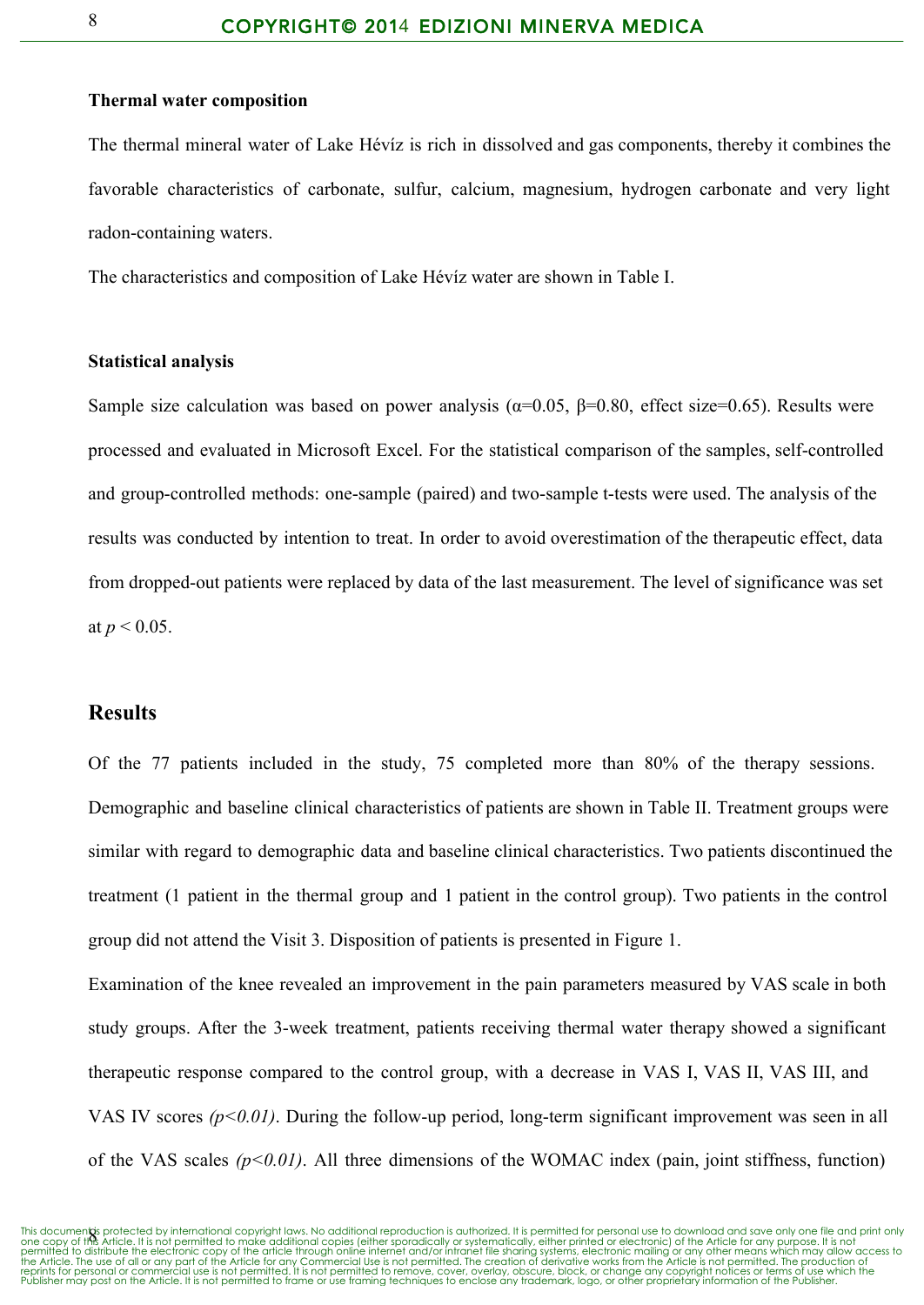#### **Thermal water composition**

The thermal mineral water of Lake Hévíz is rich in dissolved and gas components, thereby it combines the favorable characteristics of carbonate, sulfur, calcium, magnesium, hydrogen carbonate and very light radon-containing waters.

The characteristics and composition of Lake Hévíz water are shown in Table I.

#### **Statistical analysis**

Sample size calculation was based on power analysis ( $\alpha$ =0.05,  $\beta$ =0.80, effect size=0.65). Results were processed and evaluated in Microsoft Excel. For the statistical comparison of the samples, self-controlled and group-controlled methods: one-sample (paired) and two-sample t-tests were used. The analysis of the results was conducted by intention to treat. In order to avoid overestimation of the therapeutic effect, data from dropped-out patients were replaced by data of the last measurement. The level of significance was set at  $p < 0.05$ .

### **Results**

Of the 77 patients included in the study, 75 completed more than 80% of the therapy sessions. Demographic and baseline clinical characteristics of patients are shown in Table II. Treatment groups were similar with regard to demographic data and baseline clinical characteristics. Two patients discontinued the treatment (1 patient in the thermal group and 1 patient in the control group). Two patients in the control group did not attend the Visit 3. Disposition of patients is presented in Figure 1.

Examination of the knee revealed an improvement in the pain parameters measured by VAS scale in both study groups. After the 3-week treatment, patients receiving thermal water therapy showed a significant therapeutic response compared to the control group, with a decrease in VAS I, VAS II, VAS III, and VAS IV scores  $(p<0.01)$ . During the follow-up period, long-term significant improvement was seen in all of the VAS scales  $(p<0.01)$ . All three dimensions of the WOMAC index (pain, joint stiffness, function)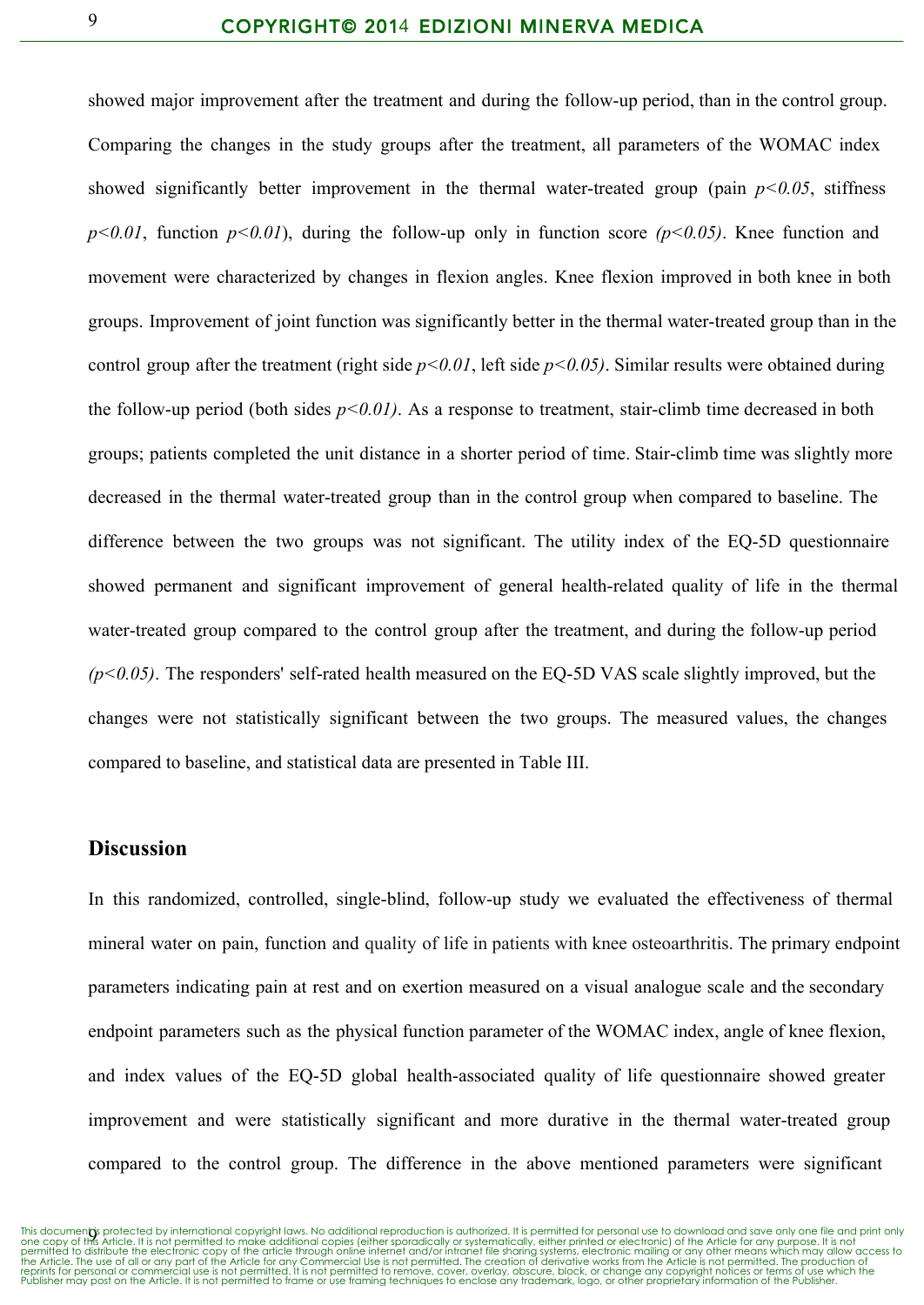showed major improvement after the treatment and during the follow-up period, than in the control group. Comparing the changes in the study groups after the treatment, all parameters of the WOMAC index showed significantly better improvement in the thermal water-treated group (pain  $p < 0.05$ , stiffness  $p<0.01$ , function  $p<0.01$ ), during the follow-up only in function score  $(p<0.05)$ . Knee function and movement were characterized by changes in flexion angles. Knee flexion improved in both knee in both groups. Improvement of joint function was significantly better in the thermal water-treated group than in the control group after the treatment (right side *p<0.01*, left side *p<0.05)*. Similar results were obtained during the follow-up period (both sides  $p<0.01$ ). As a response to treatment, stair-climb time decreased in both groups; patients completed the unit distance in a shorter period of time. Stair-climb time was slightly more decreased in the thermal water-treated group than in the control group when compared to baseline. The difference between the two groups was not significant. The utility index of the EQ-5D questionnaire showed permanent and significant improvement of general health-related quality of life in the thermal water-treated group compared to the control group after the treatment, and during the follow-up period  $(p<0.05)$ . The responders' self-rated health measured on the EQ-5D VAS scale slightly improved, but the changes were not statistically significant between the two groups. The measured values, the changes compared to baseline, and statistical data are presented in Table III.

## **Discussion**

In this randomized, controlled, single-blind, follow-up study we evaluated the effectiveness of thermal mineral water on pain, function and quality of life in patients with knee osteoarthritis. The primary endpoint parameters indicating pain at rest and on exertion measured on a visual analogue scale and the secondary endpoint parameters such as the physical function parameter of the WOMAC index, angle of knee flexion, and index values of the EQ-5D global health-associated quality of life questionnaire showed greater improvement and were statistically significant and more durative in the thermal water-treated group compared to the control group. The difference in the above mentioned parameters were significant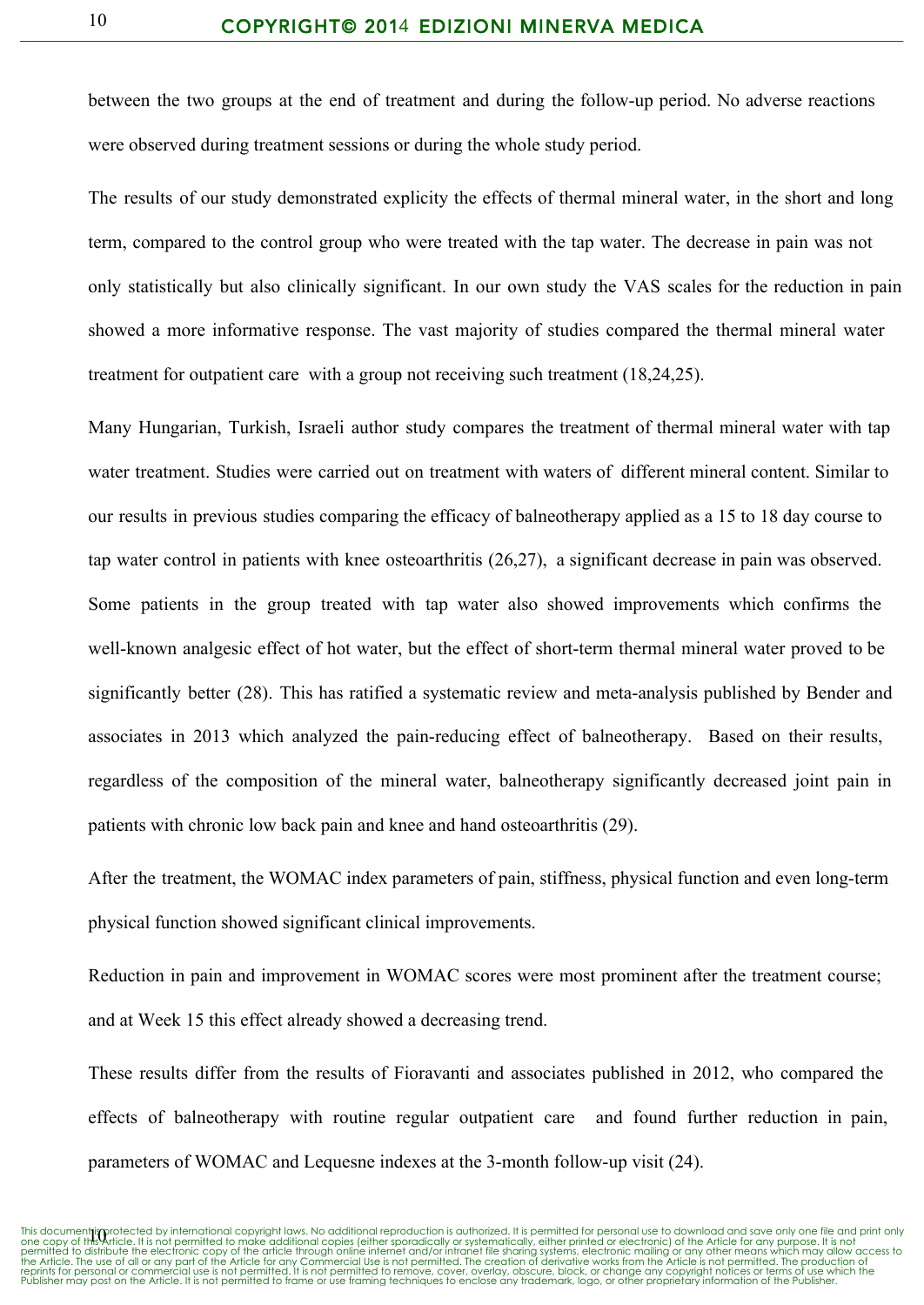between the two groups at the end of treatment and during the followup period. No adverse reactions were observed during treatment sessions or during the whole study period.

The results of our study demonstrated explicity the effects of thermal mineral water, in the short and long term, compared to the control group who were treated with the tap water. The decrease in pain was not only statistically but also clinically significant. In our own study the VAS scales for the reduction in pain showed a more informative response. The vast majority of studies compared the thermal mineral water treatment for outpatient care with a group not receiving such treatment (18,24,25).

Many Hungarian, Turkish, Israeli author study compares the treatment of thermal mineral water with tap water treatment. Studies were carried out on treatment with waters of different mineral content. Similar to our results in previous studies comparing the efficacy of balneotherapy applied as a 15 to 18 day course to tap water control in patients with knee osteoarthritis (26,27), a significant decrease in pain was observed. Some patients in the group treated with tap water also showed improvements which confirms the well-known analgesic effect of hot water, but the effect of short-term thermal mineral water proved to be significantly better (28). This has ratified a systematic review and meta-analysis published by Bender and associates in 2013 which analyzed the pain-reducing effect of balneotherapy. Based on their results, regardless of the composition of the mineral water, balneotherapy significantly decreased joint pain in patients with chronic low back pain and knee and hand osteoarthritis (29).

After the treatment, the WOMAC index parameters of pain, stiffness, physical function and even long-term physical function showed significant clinical improvements.

Reduction in pain and improvement in WOMAC scores were most prominent after the treatment course; and at Week 15 this effect already showed a decreasing trend.

These results differ from the results of Fioravanti and associates published in 2012, who compared the effects of balneotherapy with routine regular outpatient care and found further reduction in pain, parameters of WOMAC and Lequesne indexes at the 3-month follow-up visit (24).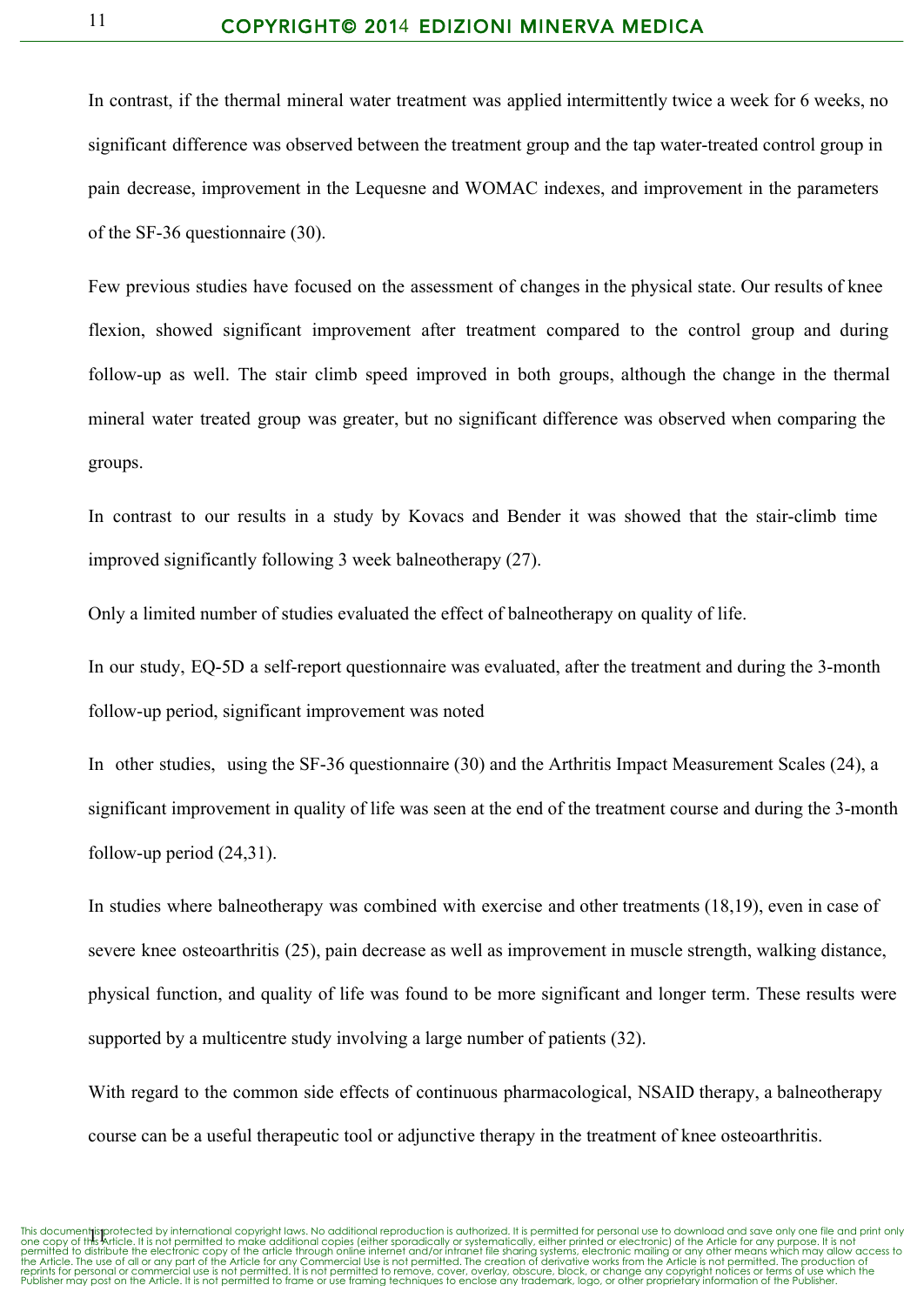In contrast, if the thermal mineral water treatment was applied intermittently twice a week for 6 weeks, no significant difference was observed between the treatment group and the tap water-treated control group in pain decrease, improvement in the Lequesne and WOMAC indexes, and improvement in the parameters of the SF-36 questionnaire (30).

Few previous studies have focused on the assessment of changes in the physical state. Our results of knee flexion, showed significant improvement after treatment compared to the control group and during follow-up as well. The stair climb speed improved in both groups, although the change in the thermal mineral water treated group was greater, but no significant difference was observed when comparing the groups.

In contrast to our results in a study by Kovacs and Bender it was showed that the stair-climb time improved significantly following 3 week balneotherapy (27).

Only a limited number of studies evaluated the effect of balneotherapy on quality of life.

In our study, EQ-5D a self-report questionnaire was evaluated, after the treatment and during the 3-month followup period, significant improvement was noted

In other studies, using the SF-36 questionnaire (30) and the Arthritis Impact Measurement Scales (24), a significant improvement in quality of life was seen at the end of the treatment course and during the 3-month follow-up period  $(24,31)$ .

In studies where balneotherapy was combined with exercise and other treatments (18,19), even in case of severe knee osteoarthritis (25), pain decrease as well as improvement in muscle strength, walking distance, physical function, and quality of life was found to be more significant and longer term. These results were supported by a multicentre study involving a large number of patients (32).

With regard to the common side effects of continuous pharmacological, NSAID therapy, a balneotherapy course can be a useful therapeutic tool or adjunctive therapy in the treatment of knee osteoarthritis.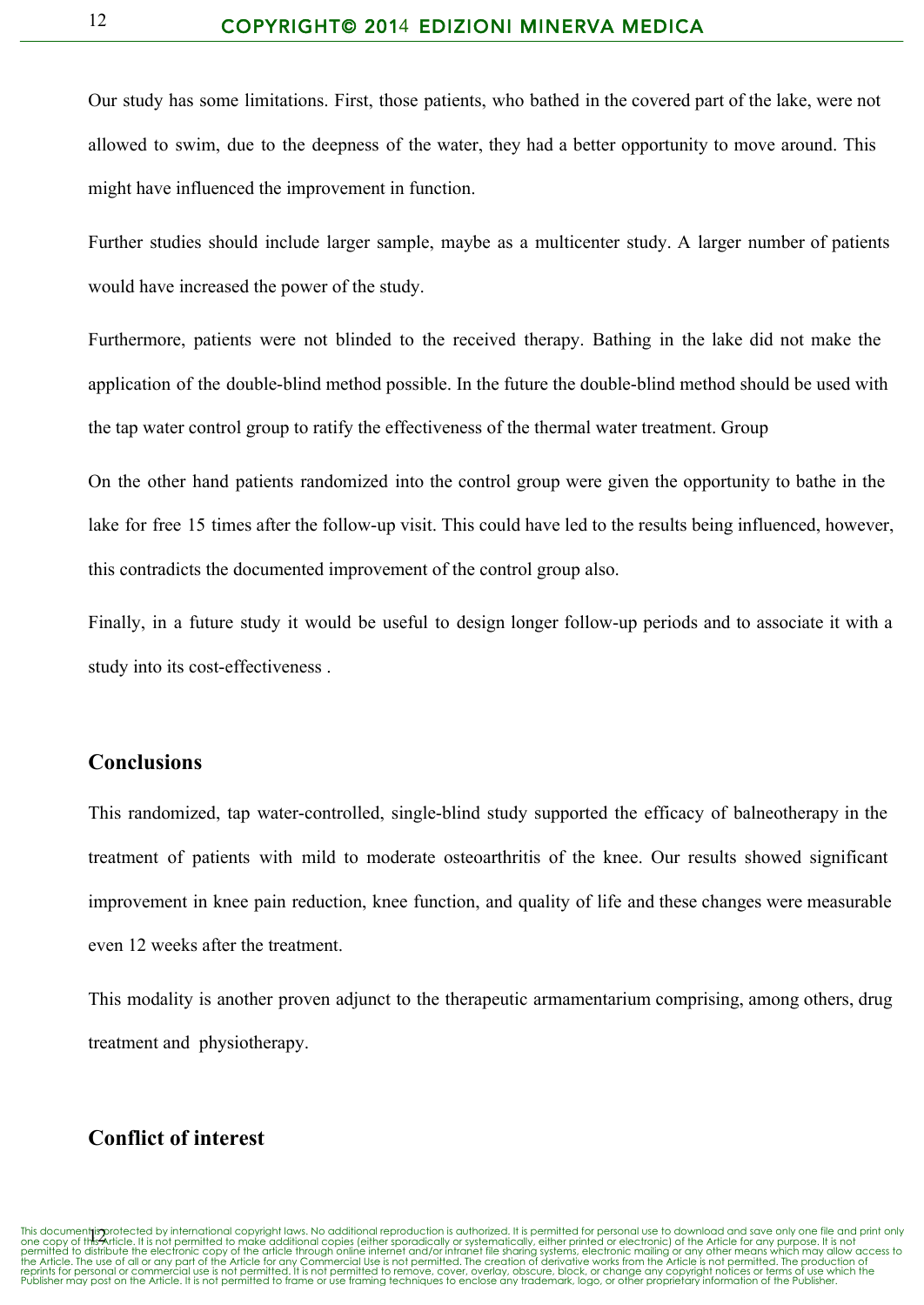Our study has some limitations. First, those patients, who bathed in the covered part of the lake, were not allowed to swim, due to the deepness of the water, they had a better opportunity to move around. This might have influenced the improvement in function.

Further studies should include larger sample, maybe as a multicenter study. A larger number of patients would have increased the power of the study.

Furthermore, patients were not blinded to the received therapy. Bathing in the lake did not make the application of the double-blind method possible. In the future the double-blind method should be used with the tap water control group to ratify the effectiveness of the thermal water treatment. Group

On the other hand patients randomized into the control group were given the opportunity to bathe in the lake for free 15 times after the follow-up visit. This could have led to the results being influenced, however, this contradicts the documented improvement of the control group also.

Finally, in a future study it would be useful to design longer follow-up periods and to associate it with a study into its cost-effectiveness.

## **Conclusions**

This randomized, tap water-controlled, single-blind study supported the efficacy of balneotherapy in the treatment of patients with mild to moderate osteoarthritis of the knee. Our results showed significant improvement in knee pain reduction, knee function, and quality of life and these changes were measurable even 12 weeks after the treatment.

This modality is another proven adjunct to the therapeutic armamentarium comprising, among others, drug treatment and physiotherapy.

## **Conflict of interest**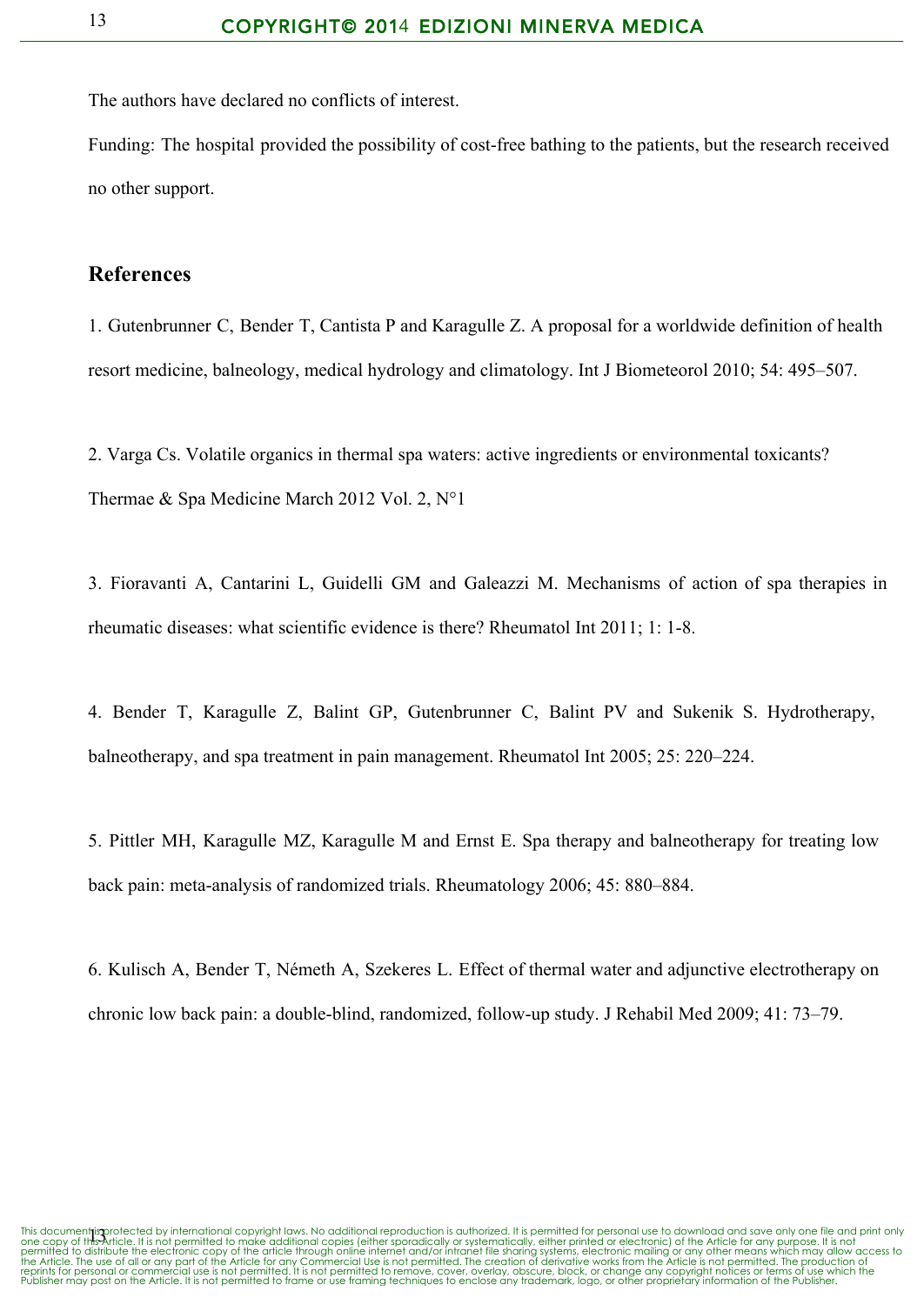The authors have declared no conflicts of interest.

Funding: The hospital provided the possibility of cost-free bathing to the patients, but the research received no other support.

#### **References**

1. Gutenbrunner C, Bender T, Cantista P and Karagulle Z. A proposal for a worldwide definition of health resort medicine, balneology, medical hydrology and climatology. Int J Biometeorol 2010; 54: 495–507.

2. Varga Cs. Volatile organics in thermal spa waters: active ingredients or environmental toxicants? Thermae & Spa Medicine March 2012 Vol. 2, N°1

3. Fioravanti A, Cantarini L, Guidelli GM and Galeazzi M. Mechanisms of action of spa therapies in rheumatic diseases: what scientific evidence is there? Rheumatol Int 2011; 1: 1-8.

4. Bender T, Karagulle Z, Balint GP, Gutenbrunner C, Balint PV and Sukenik S. Hydrotherapy, balneotherapy, and spa treatment in pain management. Rheumatol Int 2005; 25: 220–224.

5. Pittler MH, Karagulle MZ, Karagulle M and Ernst E. Spa therapy and balneotherapy for treating low back pain: meta-analysis of randomized trials. Rheumatology 2006; 45: 880–884.

6. Kulisch A, Bender T, Németh A, Szekeres L. Effect of thermal water and adjunctive electrotherapy on chronic low back pain: a double-blind, randomized, follow-up study. J Rehabil Med 2009; 41: 73–79.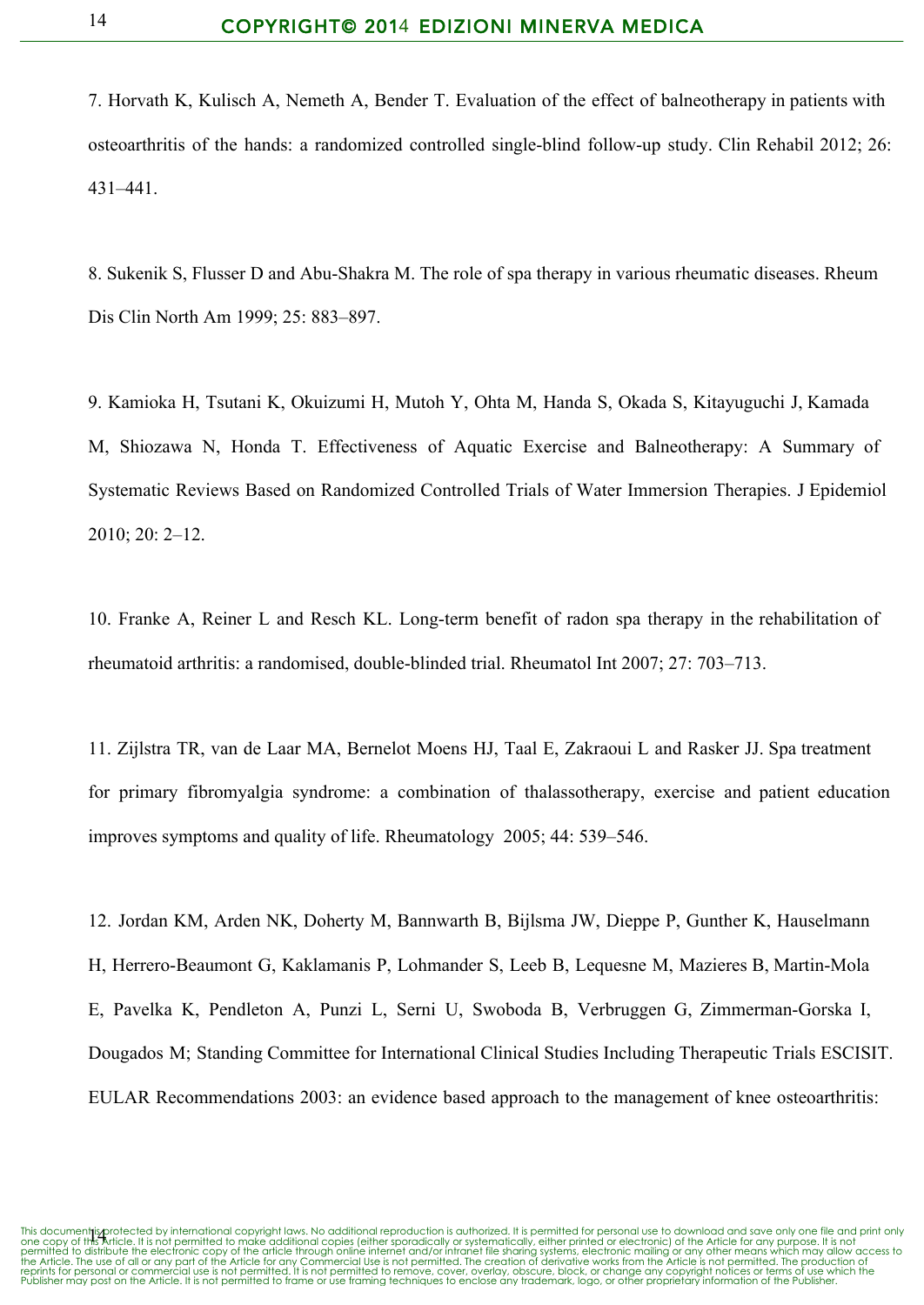7. Horvath K, Kulisch A, Nemeth A, Bender T. Evaluation of the effect of balneotherapy in patients with osteoarthritis of the hands: a randomized controlled single-blind follow-up study. Clin Rehabil 2012; 26: 431–441.

8. Sukenik S, Flusser D and Abu-Shakra M. The role of spa therapy in various rheumatic diseases. Rheum Dis Clin North Am 1999; 25: 883–897.

9. Kamioka H, Tsutani K, Okuizumi H, Mutoh Y, Ohta M, Handa S, Okada S, Kitayuguchi J, Kamada M, Shiozawa N, Honda T. Effectiveness of Aquatic Exercise and Balneotherapy: A Summary of Systematic Reviews Based on Randomized Controlled Trials of Water Immersion Therapies. J Epidemiol 2010; 20: 2–12.

10. Franke A, Reiner L and Resch KL. Long-term benefit of radon spa therapy in the rehabilitation of rheumatoid arthritis: a randomised, double-blinded trial. Rheumatol Int 2007; 27: 703–713.

11. Zijlstra TR, van de Laar MA, Bernelot Moens HJ, Taal E, Zakraoui L and Rasker JJ. Spa treatment for primary fibromyalgia syndrome: a combination of thalassotherapy, exercise and patient education improves symptoms and quality of life. Rheumatology 2005; 44: 539–546.

12. [Jordan](http://www.google.com/url?q=http%3A%2F%2Fwww.ncbi.nlm.nih.gov%2Fpubmed%3Fterm%3DJordan%2520KM%255BAuthor%255D%26cauthor%3Dtrue%26cauthor_uid%3D14644851&sa=D&sntz=1&usg=AFQjCNEI-cWTTkqXVdmiKjN6xTcmh3r48w) KM, [Arden](http://www.google.com/url?q=http%3A%2F%2Fwww.ncbi.nlm.nih.gov%2Fpubmed%3Fterm%3DArden%2520NK%255BAuthor%255D%26cauthor%3Dtrue%26cauthor_uid%3D14644851&sa=D&sntz=1&usg=AFQjCNH4W03HAuO5f1rNhZLp7YxL6FV0Cg) NK, [Doherty](http://www.google.com/url?q=http%3A%2F%2Fwww.ncbi.nlm.nih.gov%2Fpubmed%3Fterm%3DDoherty%2520M%255BAuthor%255D%26cauthor%3Dtrue%26cauthor_uid%3D14644851&sa=D&sntz=1&usg=AFQjCNGKDGwF_5VNrkVbwzaqLDchSUbASQ) M, [Bannwarth](http://www.google.com/url?q=http%3A%2F%2Fwww.ncbi.nlm.nih.gov%2Fpubmed%3Fterm%3DBannwarth%2520B%255BAuthor%255D%26cauthor%3Dtrue%26cauthor_uid%3D14644851&sa=D&sntz=1&usg=AFQjCNG7KcNmETx0c3IZHI3mfNh8gjidbw) B, [Bijlsma](http://www.google.com/url?q=http%3A%2F%2Fwww.ncbi.nlm.nih.gov%2Fpubmed%3Fterm%3DBijlsma%2520JW%255BAuthor%255D%26cauthor%3Dtrue%26cauthor_uid%3D14644851&sa=D&sntz=1&usg=AFQjCNFJFZaHyXuXF8pVIJEhp3nnCgfyXw) JW, [Dieppe](http://www.google.com/url?q=http%3A%2F%2Fwww.ncbi.nlm.nih.gov%2Fpubmed%3Fterm%3DDieppe%2520P%255BAuthor%255D%26cauthor%3Dtrue%26cauthor_uid%3D14644851&sa=D&sntz=1&usg=AFQjCNEZUf1BnD9jY___if8HvSRNLznYFw) P, [Gunther](http://www.google.com/url?q=http%3A%2F%2Fwww.ncbi.nlm.nih.gov%2Fpubmed%3Fterm%3DGunther%2520K%255BAuthor%255D%26cauthor%3Dtrue%26cauthor_uid%3D14644851&sa=D&sntz=1&usg=AFQjCNHf3b3NNfTcc07qeqo3rTnu5E7Sjg) K, [Hauselmann](http://www.google.com/url?q=http%3A%2F%2Fwww.ncbi.nlm.nih.gov%2Fpubmed%3Fterm%3DHauselmann%2520H%255BAuthor%255D%26cauthor%3Dtrue%26cauthor_uid%3D14644851&sa=D&sntz=1&usg=AFQjCNH2Ck6pJQHjaRF4E8DzxwIMC0v6vg) [H,](http://www.google.com/url?q=http%3A%2F%2Fwww.ncbi.nlm.nih.gov%2Fpubmed%3Fterm%3DHauselmann%2520H%255BAuthor%255D%26cauthor%3Dtrue%26cauthor_uid%3D14644851&sa=D&sntz=1&usg=AFQjCNH2Ck6pJQHjaRF4E8DzxwIMC0v6vg) Herrero-Beaumont G, [Kaklamanis](http://www.google.com/url?q=http%3A%2F%2Fwww.ncbi.nlm.nih.gov%2Fpubmed%3Fterm%3DKaklamanis%2520P%255BAuthor%255D%26cauthor%3Dtrue%26cauthor_uid%3D14644851&sa=D&sntz=1&usg=AFQjCNHIqMGTzHYqeXhFmCaOkjevAFmsGQ) P, [Lohmander](http://www.google.com/url?q=http%3A%2F%2Fwww.ncbi.nlm.nih.gov%2Fpubmed%3Fterm%3DLohmander%2520S%255BAuthor%255D%26cauthor%3Dtrue%26cauthor_uid%3D14644851&sa=D&sntz=1&usg=AFQjCNFSWxOFceZq5PhRDxXTpdke8-VA5Q) S, [Leeb](http://www.google.com/url?q=http%3A%2F%2Fwww.ncbi.nlm.nih.gov%2Fpubmed%3Fterm%3DLeeb%2520B%255BAuthor%255D%26cauthor%3Dtrue%26cauthor_uid%3D14644851&sa=D&sntz=1&usg=AFQjCNHkaRnuik4B8FESSIOgw4_d9H2tGA) B, [Lequesne](http://www.google.com/url?q=http%3A%2F%2Fwww.ncbi.nlm.nih.gov%2Fpubmed%3Fterm%3DLequesne%2520M%255BAuthor%255D%26cauthor%3Dtrue%26cauthor_uid%3D14644851&sa=D&sntz=1&usg=AFQjCNHhBU6o0HSOfoMyYg20ER1-3n_NRw) M, [Mazieres](http://www.google.com/url?q=http%3A%2F%2Fwww.ncbi.nlm.nih.gov%2Fpubmed%3Fterm%3DMazieres%2520B%255BAuthor%255D%26cauthor%3Dtrue%26cauthor_uid%3D14644851&sa=D&sntz=1&usg=AFQjCNFSg_ZuMr2toEGttESAmnHJn_Kgag) B, Martin-Mola [E](http://www.google.com/url?q=http%3A%2F%2Fwww.ncbi.nlm.nih.gov%2Fpubmed%3Fterm%3DMartin-Mola%2520E%255BAuthor%255D%26cauthor%3Dtrue%26cauthor_uid%3D14644851&sa=D&sntz=1&usg=AFQjCNEi4gkN12jFL6o96_ppzukJJHRsFg), [Pavelka](http://www.google.com/url?q=http%3A%2F%2Fwww.ncbi.nlm.nih.gov%2Fpubmed%3Fterm%3DPavelka%2520K%255BAuthor%255D%26cauthor%3Dtrue%26cauthor_uid%3D14644851&sa=D&sntz=1&usg=AFQjCNE0EZdgP9CF2SrPxxSwGS99dv9e1A) K, [Pendleton](http://www.google.com/url?q=http%3A%2F%2Fwww.ncbi.nlm.nih.gov%2Fpubmed%3Fterm%3DPendleton%2520A%255BAuthor%255D%26cauthor%3Dtrue%26cauthor_uid%3D14644851&sa=D&sntz=1&usg=AFQjCNGRXRCfenrpM8msOTWCzwWw3u9_tQ) A, [Punzi](http://www.google.com/url?q=http%3A%2F%2Fwww.ncbi.nlm.nih.gov%2Fpubmed%3Fterm%3DPunzi%2520L%255BAuthor%255D%26cauthor%3Dtrue%26cauthor_uid%3D14644851&sa=D&sntz=1&usg=AFQjCNFRnxFr7NoMV4WMgxGFHb6260SayA) L, [Serni](http://www.google.com/url?q=http%3A%2F%2Fwww.ncbi.nlm.nih.gov%2Fpubmed%3Fterm%3DSerni%2520U%255BAuthor%255D%26cauthor%3Dtrue%26cauthor_uid%3D14644851&sa=D&sntz=1&usg=AFQjCNFBk347mntdkJIIemEsGQVtJ2nCnw) U, [Swoboda](http://www.google.com/url?q=http%3A%2F%2Fwww.ncbi.nlm.nih.gov%2Fpubmed%3Fterm%3DSwoboda%2520B%255BAuthor%255D%26cauthor%3Dtrue%26cauthor_uid%3D14644851&sa=D&sntz=1&usg=AFQjCNGhKVjoKFtQHPZkYONZ3ofUATdl_g) B, [Verbruggen](http://www.google.com/url?q=http%3A%2F%2Fwww.ncbi.nlm.nih.gov%2Fpubmed%3Fterm%3DVerbruggen%2520G%255BAuthor%255D%26cauthor%3Dtrue%26cauthor_uid%3D14644851&sa=D&sntz=1&usg=AFQjCNFgls1rW8MLeA5Bz3zdwIfCTMPw2g) G, Zimmerman-Gorska I, [Dougados](http://www.google.com/url?q=http%3A%2F%2Fwww.ncbi.nlm.nih.gov%2Fpubmed%3Fterm%3DDougados%2520M%255BAuthor%255D%26cauthor%3Dtrue%26cauthor_uid%3D14644851&sa=D&sntz=1&usg=AFQjCNGZaQTyh1mDgATjD45PJj06Q6G8cQ) M; Standing Committee for [International](http://www.google.com/url?q=http%3A%2F%2Fwww.ncbi.nlm.nih.gov%2Fpubmed%3Fterm%3DStanding%2520Committee%2520for%2520International%2520Clinical%2520Studies%2520Including%2520Therapeutic%2520Trials%2520ESCISIT%255BCorporate%2520Author%255D&sa=D&sntz=1&usg=AFQjCNFVv-BxuqE-ClOkgkz-hp4bqy5W_w) Clinical Studies Including Therapeutic Trials ESCISIT. EULAR Recommendations 2003: an evidence based approach to the management of knee osteoarthritis: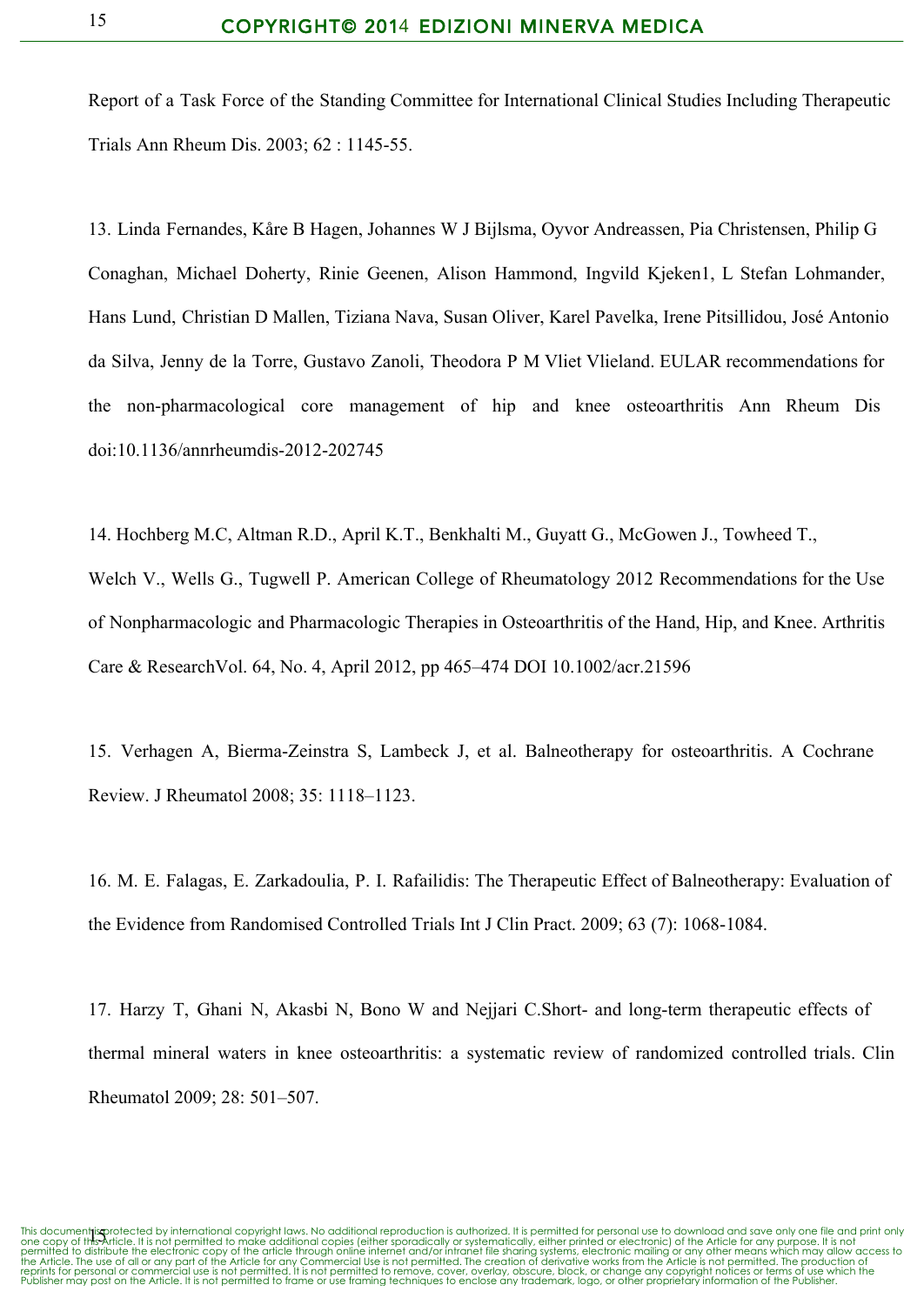Report of a Task Force of the Standing Committee for International Clinical Studies Including Therapeutic Trials Ann [Rheum](http://www.google.com/url?q=http%3A%2F%2Fdiseases.&sa=D&sntz=1&usg=AFQjCNF7mDKO8po8pieAbqwH1HGM5dqv4w) Dis. 2003; 62 : 1145-55.

13. Linda Fernandes, Kåre B Hagen, Johannes W J Bijlsma, Oyvor Andreassen, Pia Christensen, Philip G Conaghan, Michael Doherty, Rinie Geenen, Alison Hammond, Ingvild Kjeken1, L Stefan Lohmander, Hans Lund, Christian D Mallen, Tiziana Nava, Susan Oliver, Karel Pavelka, Irene Pitsillidou, José Antonio da Silva, Jenny de la Torre, Gustavo Zanoli, Theodora P M Vliet Vlieland. EULAR recommendations for the non-pharmacological core management of hip and knee osteoarthritis Ann Rheum Dis doi:10.1136/annrheumdis2012202745

14. Hochberg M.C, Altman R.D., April K.T., Benkhalti M., Guyatt G., McGowen J., Towheed T., Welch V., Wells G., Tugwell P. American College of Rheumatology 2012 Recommendations for the Use of Nonpharmacologic and Pharmacologic Therapies in Osteoarthritis of the Hand, Hip, and Knee. Arthritis Care & ResearchVol. 64, No. 4, April 2012, pp 465–474 DOI 10.1002/acr.21596

15. Verhagen A, BiermaZeinstra S, Lambeck J, et al. Balneotherapy for osteoarthritis. A Cochrane Review. J Rheumatol 2008; 35: 1118–1123.

16. M. E. Falagas, E. Zarkadoulia, P. I. Rafailidis: The Therapeutic Effect of Balneotherapy: Evaluation of the Evidence from Randomised Controlled Trials Int J Clin Pract. 2009; 63 (7): 1068-1084.

17. Harzy T, Ghani N, Akasbi N, Bono W and Nejjari C.Short- and long-term therapeutic effects of thermal mineral waters in knee osteoarthritis: a systematic review of randomized controlled trials. Clin Rheumatol 2009; 28: 501–507.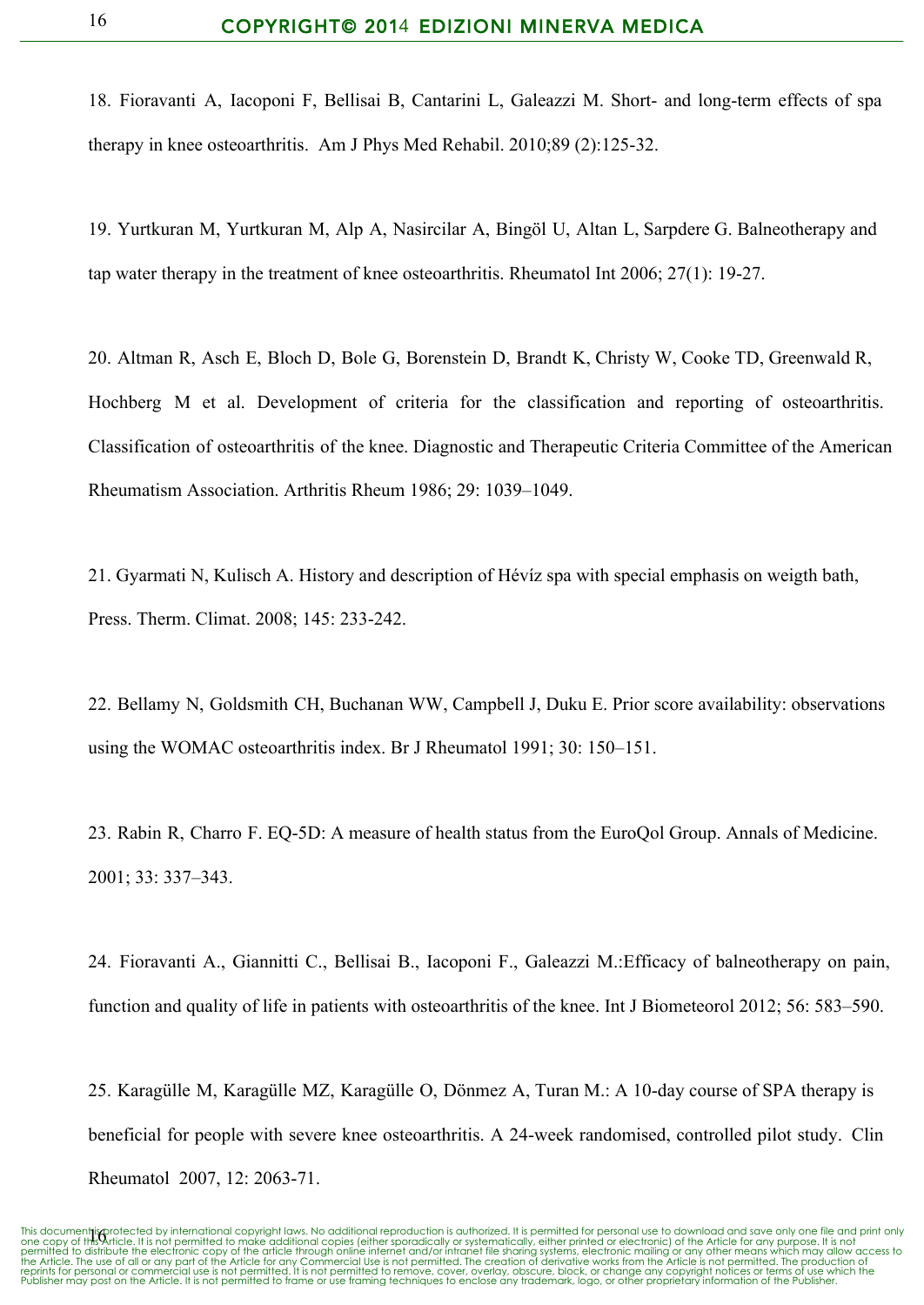18. [Fioravanti](http://www.google.com/url?q=http%3A%2F%2Fwww.ncbi.nlm.nih.gov%2Fpubmed%3Fterm%3DFioravanti%2520A%255BAuthor%255D%26cauthor%3Dtrue%26cauthor_uid%3D19884812&sa=D&sntz=1&usg=AFQjCNEv8Us7lSNFYJlaGp6WT9YeFr-2Sg) A, [Iacoponi](http://www.google.com/url?q=http%3A%2F%2Fwww.ncbi.nlm.nih.gov%2Fpubmed%3Fterm%3DIacoponi%2520F%255BAuthor%255D%26cauthor%3Dtrue%26cauthor_uid%3D19884812&sa=D&sntz=1&usg=AFQjCNGQIdaPT5u1tJbq_R9_nQxDLpIGVA) F, [Bellisai](http://www.google.com/url?q=http%3A%2F%2Fwww.ncbi.nlm.nih.gov%2Fpubmed%3Fterm%3DBellisai%2520B%255BAuthor%255D%26cauthor%3Dtrue%26cauthor_uid%3D19884812&sa=D&sntz=1&usg=AFQjCNFYznKNDyoICTuuy1b7ciD0yIjJkw) B, [Cantarini](http://www.google.com/url?q=http%3A%2F%2Fwww.ncbi.nlm.nih.gov%2Fpubmed%3Fterm%3DCantarini%2520L%255BAuthor%255D%26cauthor%3Dtrue%26cauthor_uid%3D19884812&sa=D&sntz=1&usg=AFQjCNH60fk0iuhGLsDYrvVnLgvq4HE7sQ) L, [Galeazzi](http://www.google.com/url?q=http%3A%2F%2Fwww.ncbi.nlm.nih.gov%2Fpubmed%3Fterm%3DGaleazzi%2520M%255BAuthor%255D%26cauthor%3Dtrue%26cauthor_uid%3D19884812&sa=D&sntz=1&usg=AFQjCNGNHDR_zjZ1WlZuPlK2BiEB03RZMA) M. Short- and long-term effects of spa therapy in knee osteoarthritis. Am J Phys Med [Rehabil.](http://www.google.com/url?q=http%3A%2F%2Fphysiatrists.&sa=D&sntz=1&usg=AFQjCNFd7x_qq2Hs7SAb-pqnNOcNMaHtFg) 2010;89 (2):125-32.

19. [Yurtkuran](http://www.google.com/url?q=http%3A%2F%2Fwww.ncbi.nlm.nih.gov%2Fpubmed%3Fterm%3DYurtkuran%2520M%255BAuthor%255D%26cauthor%3Dtrue%26cauthor_uid%3D16832639&sa=D&sntz=1&usg=AFQjCNFt8bXH206t8zEDoYpfkr2wW4RNlQ) M, [Yurtkuran](http://www.google.com/url?q=http%3A%2F%2Fwww.ncbi.nlm.nih.gov%2Fpubmed%3Fterm%3DYurtkuran%2520M%255BAuthor%255D%26cauthor%3Dtrue%26cauthor_uid%3D16832639&sa=D&sntz=1&usg=AFQjCNFt8bXH206t8zEDoYpfkr2wW4RNlQ) M, [Alp](http://www.google.com/url?q=http%3A%2F%2Fwww.ncbi.nlm.nih.gov%2Fpubmed%3Fterm%3DAlp%2520A%255BAuthor%255D%26cauthor%3Dtrue%26cauthor_uid%3D16832639&sa=D&sntz=1&usg=AFQjCNHbTLeI0Bi4WkgdYlK4gQWWj6FB3Q) A, [Nasircilar](http://www.google.com/url?q=http%3A%2F%2Fwww.ncbi.nlm.nih.gov%2Fpubmed%3Fterm%3DNasircilar%2520A%255BAuthor%255D%26cauthor%3Dtrue%26cauthor_uid%3D16832639&sa=D&sntz=1&usg=AFQjCNF15ZGHMcKWObtAJ-QU6_4qTdBq0Q) A, [Bingöl](http://www.google.com/url?q=http%3A%2F%2Fwww.ncbi.nlm.nih.gov%2Fpubmed%3Fterm%3DBing%25C3%25B6l%2520U%255BAuthor%255D%26cauthor%3Dtrue%26cauthor_uid%3D16832639&sa=D&sntz=1&usg=AFQjCNEaBH0xlxsLxBeaHOvOBi7c1YP0Og) U, [Altan](http://www.google.com/url?q=http%3A%2F%2Fwww.ncbi.nlm.nih.gov%2Fpubmed%3Fterm%3DAltan%2520L%255BAuthor%255D%26cauthor%3Dtrue%26cauthor_uid%3D16832639&sa=D&sntz=1&usg=AFQjCNGRjLF7Ubcg2RrdHLnro-Up4DOOdg) L, [Sarpdere](http://www.google.com/url?q=http%3A%2F%2Fwww.ncbi.nlm.nih.gov%2Fpubmed%3Fterm%3DSarpdere%2520G%255BAuthor%255D%26cauthor%3Dtrue%26cauthor_uid%3D16832639&sa=D&sntz=1&usg=AFQjCNFlQGwd2t1XSQdjUZeXmR9Qx8RA7g) G. Balneotherapy and tap water therapy in the treatment of knee osteoarthritis. Rheumatol Int  $2006$ ;  $27(1)$ : 19-27.

20. Altman R, Asch E, Bloch D, Bole G, Borenstein D, Brandt K, Christy W, Cooke TD, Greenwald R, Hochberg M et al. Development of criteria for the classification and reporting of osteoarthritis. Classification of osteoarthritis of the knee. Diagnostic and Therapeutic Criteria Committee of the American Rheumatism Association. Arthritis Rheum 1986; 29: 1039–1049.

21. Gyarmati N, Kulisch A. History and description of Hévíz spa with special emphasis on weigth bath, Press. Therm. Climat. 2008; 145: 233-242.

22. Bellamy N, Goldsmith CH, Buchanan WW, Campbell J, Duku E. Prior score availability: observations using the WOMAC osteoarthritis index. Br J Rheumatol 1991; 30: 150–151.

23. Rabin R, Charro F. EO-5D: A measure of health status from the EuroQol Group. Annals of Medicine. 2001; 33: 337–343.

24. Fioravanti A., Giannitti C., Bellisai B., Iacoponi F., Galeazzi M.:Efficacy of balneotherapy on pain, function and quality of life in patients with osteoarthritis of the knee. Int J Biometeorol 2012; 56: 583–590.

25. [Karagülle](http://www.google.com/url?q=http%3A%2F%2Fwww.ncbi.nlm.nih.gov%2Fpubmed%3Fterm%3DKarag%25C3%25BClle%2520M%255BAuthor%255D%26cauthor%3Dtrue%26cauthor_uid%3D17431728&sa=D&sntz=1&usg=AFQjCNERh0ld2RcRu9VvCcBvcNr_G2AVwA) M, [Karagülle](http://www.google.com/url?q=http%3A%2F%2Fwww.ncbi.nlm.nih.gov%2Fpubmed%3Fterm%3DKarag%25C3%25BClle%2520MZ%255BAuthor%255D%26cauthor%3Dtrue%26cauthor_uid%3D17431728&sa=D&sntz=1&usg=AFQjCNHSJPf0bsxy669TEj31GNXLEaznRA) MZ, [Karagülle](http://www.google.com/url?q=http%3A%2F%2Fwww.ncbi.nlm.nih.gov%2Fpubmed%3Fterm%3DKarag%25C3%25BClle%2520O%255BAuthor%255D%26cauthor%3Dtrue%26cauthor_uid%3D17431728&sa=D&sntz=1&usg=AFQjCNEtKjJYfBnkU1VDbGjSvcA40onmqQ) O, [Dönmez](http://www.google.com/url?q=http%3A%2F%2Fwww.ncbi.nlm.nih.gov%2Fpubmed%3Fterm%3DD%25C3%25B6nmez%2520A%255BAuthor%255D%26cauthor%3Dtrue%26cauthor_uid%3D17431728&sa=D&sntz=1&usg=AFQjCNHDP7R8fw9pVOVjH5zjKB-HKK_5Ug) A, [Turan](http://www.google.com/url?q=http%3A%2F%2Fwww.ncbi.nlm.nih.gov%2Fpubmed%3Fterm%3DTuran%2520M%255BAuthor%255D%26cauthor%3Dtrue%26cauthor_uid%3D17431728&sa=D&sntz=1&usg=AFQjCNF-qkRPEylC_5WEUSTTfpvT8x4fRw) M.: A 10day course of SPA therapy is beneficial for people with severe knee osteoarthritis. A 24-week randomised, controlled pilot study. Clin Rheumatol 2007, 12: 2063-71.

This document**risp**rotected by international copyright laws. No additional reproduction is authorized. It is permitted for personal use to download and save only one file and print only<br>one copy of this Article. It is not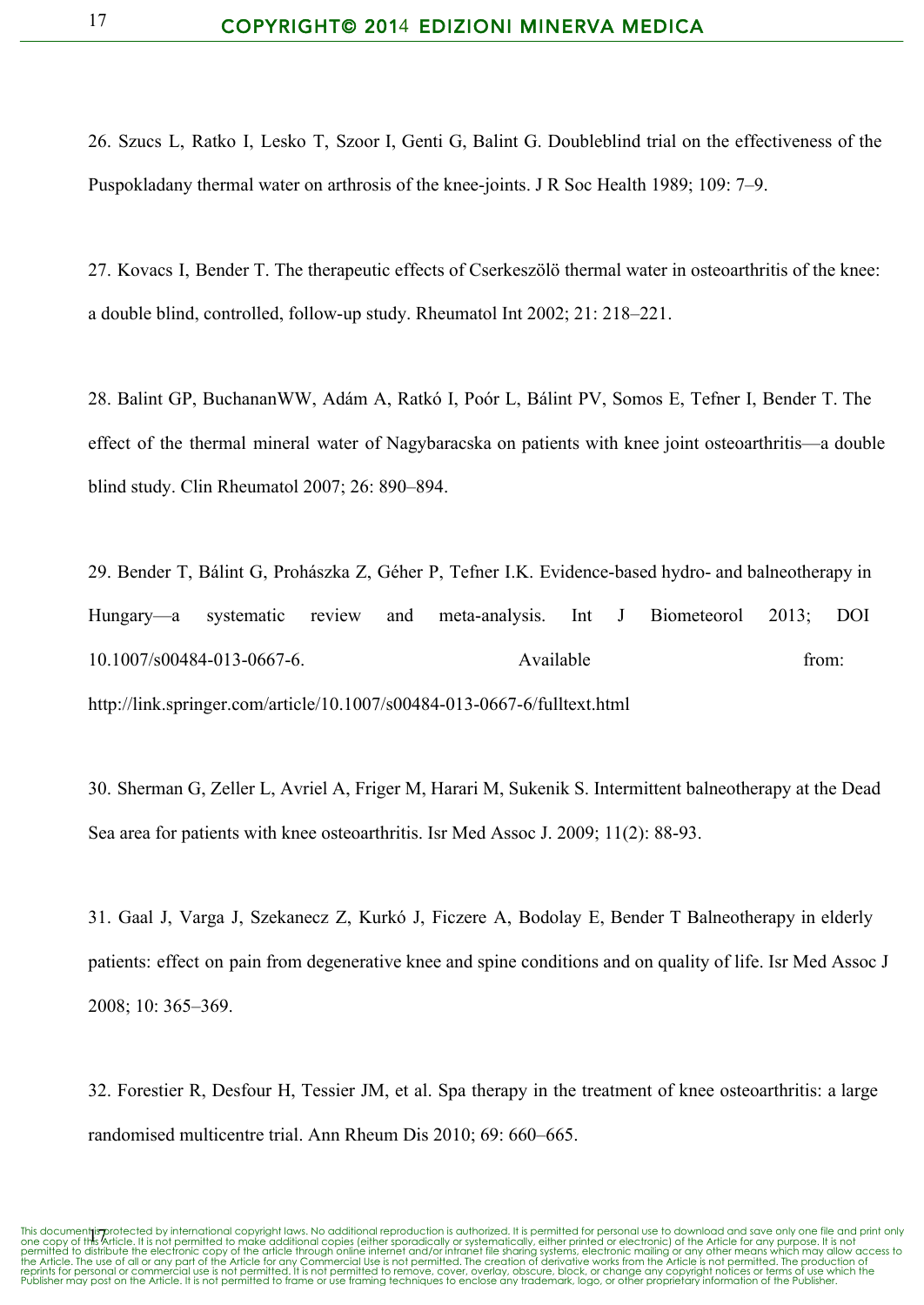26. Szucs L, Ratko I, Lesko T, Szoor I, Genti G, Balint G. Doubleblind trial on the effectiveness of the Puspokladany thermal water on arthrosis of the knee-joints. J R Soc Health 1989; 109: 7–9.

27. Kovacs I, Bender T. The therapeutic effects of Cserkeszölö thermal water in osteoarthritis of the knee: a double blind, controlled, followup study. Rheumatol Int 2002; 21: 218–221.

28. Balint GP, BuchananWW, Adám A, Ratkó I, Poór L, Bálint PV, Somos E, Tefner I, Bender T. The effect of the thermal mineral water of Nagybaracska on patients with knee joint osteoarthritis—a double blind study. Clin Rheumatol 2007; 26: 890–894.

29. Bender T, Bálint G, Prohászka Z, Géher P, Tefner I.K. Evidence-based hydro- and balneotherapy in Hungary—a systematic review and meta-analysis. Int J Biometeorol 2013; DOI 10.1007/s00484-013-0667-6. Available https://www.from.com/solong/solong/solong/solong/solong/solong/ http://link.springer.com/article/10.1007/s00484-013-0667-6/fulltext.html

30. [Sherman](http://www.google.com/url?q=http%3A%2F%2Fwww.ncbi.nlm.nih.gov%2Fpubmed%3Fterm%3DSherman%2520G%255BAuthor%255D%26cauthor%3Dtrue%26cauthor_uid%3D19432036&sa=D&sntz=1&usg=AFQjCNEUQ2yixD68cEe3I6fqx2FMVE6aow) G, [Zeller](http://www.google.com/url?q=http%3A%2F%2Fwww.ncbi.nlm.nih.gov%2Fpubmed%3Fterm%3DZeller%2520L%255BAuthor%255D%26cauthor%3Dtrue%26cauthor_uid%3D19432036&sa=D&sntz=1&usg=AFQjCNFu7Hi4WdeFd2Iny4NgYA8qloN76w) L, [Avriel](http://www.google.com/url?q=http%3A%2F%2Fwww.ncbi.nlm.nih.gov%2Fpubmed%3Fterm%3DAvriel%2520A%255BAuthor%255D%26cauthor%3Dtrue%26cauthor_uid%3D19432036&sa=D&sntz=1&usg=AFQjCNF9G3t9uhvLrr1ByQZ-YcZgQ7rhkw) A, [Friger](http://www.google.com/url?q=http%3A%2F%2Fwww.ncbi.nlm.nih.gov%2Fpubmed%3Fterm%3DFriger%2520M%255BAuthor%255D%26cauthor%3Dtrue%26cauthor_uid%3D19432036&sa=D&sntz=1&usg=AFQjCNEfSRNF2s-VC4_6VIvvXMUNWIVBCg) M, [Harari](http://www.google.com/url?q=http%3A%2F%2Fwww.ncbi.nlm.nih.gov%2Fpubmed%3Fterm%3DHarari%2520M%255BAuthor%255D%26cauthor%3Dtrue%26cauthor_uid%3D19432036&sa=D&sntz=1&usg=AFQjCNEQeE5AuZRCvpsQghDvAAl5INzgMg) M, [Sukenik](http://www.google.com/url?q=http%3A%2F%2Fwww.ncbi.nlm.nih.gov%2Fpubmed%3Fterm%3DSukenik%2520S%255BAuthor%255D%26cauthor%3Dtrue%26cauthor_uid%3D19432036&sa=D&sntz=1&usg=AFQjCNEX-6CrUb4JU6lgqaLv8Zg9isZ4tA) S. Intermittent balneotherapy at the Dead Sea area for patients with knee osteoarthritis. Isr Med [Assoc](http://www.google.com/url?q=http%3A%2F%2Fimaj.&sa=D&sntz=1&usg=AFQjCNELgS1O4prnpGHEIjxp57Ojx-iVMw) J. 2009; 11(2): 88-93.

31. Gaal J, Varga J, Szekanecz Z, Kurkó J, Ficzere A, Bodolay E, Bender T Balneotherapy in elderly patients: effect on pain from degenerative knee and spine conditions and on quality of life. Isr Med Assoc J 2008; 10: 365–369.

32. Forestier R, Desfour H, Tessier JM, et al. Spa therapy in the treatment of knee osteoarthritis: a large randomised multicentre trial. Ann Rheum Dis 2010; 69: 660–665.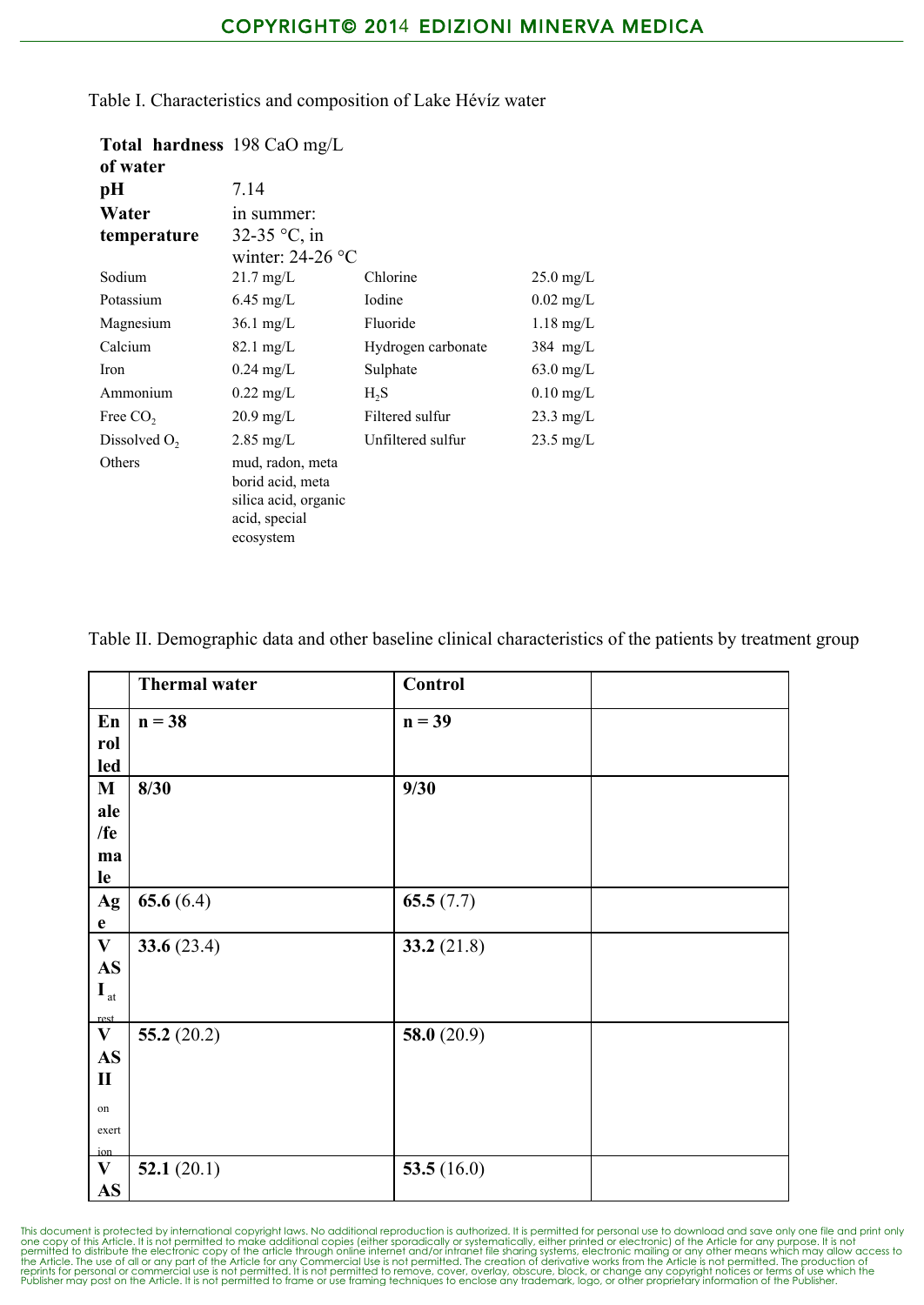| Total hardness 198 CaO mg/L |                                                                                            |                    |                     |  |  |  |
|-----------------------------|--------------------------------------------------------------------------------------------|--------------------|---------------------|--|--|--|
| of water                    |                                                                                            |                    |                     |  |  |  |
| pН                          | 7.14                                                                                       |                    |                     |  |  |  |
| Water                       | in summer:                                                                                 |                    |                     |  |  |  |
| temperature                 | 32-35 $^{\circ}$ C, in                                                                     |                    |                     |  |  |  |
|                             | winter: $24-26$ °C                                                                         |                    |                     |  |  |  |
| Sodium                      | $21.7 \text{ mg/L}$                                                                        | Chlorine           | $25.0 \text{ mg/L}$ |  |  |  |
| Potassium                   | $6.45 \text{ mg/L}$                                                                        | Iodine             | $0.02$ mg/L         |  |  |  |
| Magnesium                   | $36.1$ mg/L                                                                                | Fluoride           | $1.18$ mg/L         |  |  |  |
| Calcium                     | $82.1 \text{ mg/L}$                                                                        | Hydrogen carbonate | $384$ mg/L          |  |  |  |
| Iron                        | $0.24 \text{ mg/L}$                                                                        | Sulphate           | $63.0$ mg/L         |  |  |  |
| Ammonium                    | $0.22 \text{ mg/L}$                                                                        | $H_2S$             | $0.10$ mg/L         |  |  |  |
| Free CO <sub>2</sub>        | $20.9 \text{ mg/L}$                                                                        | Filtered sulfur    | $23.3 \text{ mg/L}$ |  |  |  |
| Dissolved $O2$              | $2.85 \text{ mg/L}$                                                                        | Unfiltered sulfur  | $23.5 \text{ mg/L}$ |  |  |  |
| Others                      | mud, radon, meta<br>borid acid, meta<br>silica acid, organic<br>acid, special<br>ecosystem |                    |                     |  |  |  |

Table I. Characteristics and composition of Lake Hévíz water

Table II. Demographic data and other baseline clinical characteristics of the patients by treatment group

|                          | <b>Thermal water</b> | Control       |  |
|--------------------------|----------------------|---------------|--|
| En                       | $n = 38$             | $n = 39$      |  |
| rol                      |                      |               |  |
| led                      |                      |               |  |
| $\bf M$                  | 8/30                 | 9/30          |  |
| ale                      |                      |               |  |
| /fe                      |                      |               |  |
| ma                       |                      |               |  |
| le                       |                      |               |  |
| Ag                       | 65.6 $(6.4)$         | 65.5 $(7.7)$  |  |
| $\mathbf{e}$             |                      |               |  |
| $\mathbf{V}$             | 33.6 $(23.4)$        | 33.2 $(21.8)$ |  |
| $\mathbf{A}\mathbf{S}$   |                      |               |  |
| $\mathbf{I}_{\text{at}}$ |                      |               |  |
| rest.                    |                      |               |  |
| $\mathbf{V}$             | 55.2 $(20.2)$        | 58.0 $(20.9)$ |  |
| $\mathbf{A}\mathbf{S}$   |                      |               |  |
| $\mathbf{I}$             |                      |               |  |
| on                       |                      |               |  |
| exert                    |                      |               |  |
| ion                      |                      |               |  |
| $\mathbf{V}$             | 52.1 $(20.1)$        | 53.5 $(16.0)$ |  |
| AS                       |                      |               |  |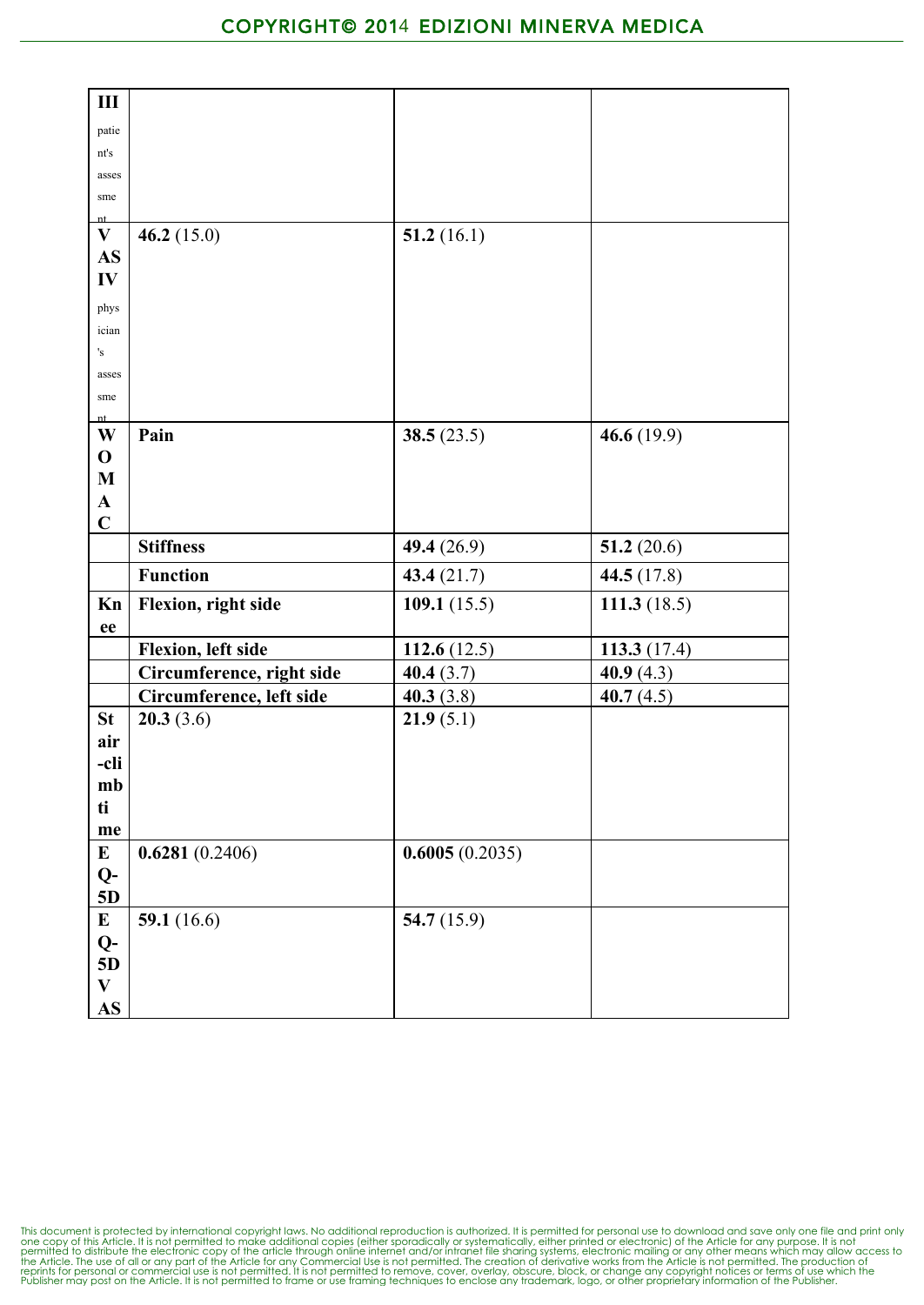| III                       |                           |                |                |
|---------------------------|---------------------------|----------------|----------------|
| patie                     |                           |                |                |
| nt's                      |                           |                |                |
| asses                     |                           |                |                |
| sme                       |                           |                |                |
| nt                        |                           |                |                |
| $\mathbf{V}$<br><b>AS</b> | 46.2 $(15.0)$             | 51.2 $(16.1)$  |                |
| IV                        |                           |                |                |
|                           |                           |                |                |
| phys<br>ician             |                           |                |                |
| 's                        |                           |                |                |
| asses                     |                           |                |                |
| sme                       |                           |                |                |
| nt                        |                           |                |                |
| W                         | Pain                      | 38.5 $(23.5)$  | 46.6 $(19.9)$  |
| $\mathbf{O}$              |                           |                |                |
| $\mathbf M$<br>${\bf A}$  |                           |                |                |
| $\mathbf C$               |                           |                |                |
|                           | <b>Stiffness</b>          | 49.4 (26.9)    | 51.2 $(20.6)$  |
|                           | <b>Function</b>           | 43.4 $(21.7)$  | 44.5 (17.8)    |
|                           |                           |                |                |
| Kn<br>ee                  | Flexion, right side       | 109.1 $(15.5)$ | 111.3 $(18.5)$ |
|                           | Flexion, left side        | 112.6 $(12.5)$ | 113.3 $(17.4)$ |
|                           | Circumference, right side | 40.4(3.7)      | 40.9(4.3)      |
|                           | Circumference, left side  | 40.3 $(3.8)$   | 40.7 $(4.5)$   |
| <b>St</b>                 | 20.3(3.6)                 | 21.9(5.1)      |                |
| air                       |                           |                |                |
| -cli                      |                           |                |                |
| mb                        |                           |                |                |
| ti                        |                           |                |                |
| me                        |                           |                |                |
| $\bf{E}$                  | 0.6281(0.2406)            | 0.6005(0.2035) |                |
| $Q-$<br>5D                |                           |                |                |
| $\mathbf E$               | 59.1 $(16.6)$             | 54.7 $(15.9)$  |                |
| $Q-$                      |                           |                |                |
| 5D                        |                           |                |                |
| $\mathbf{V}$              |                           |                |                |
| $\mathbf{A}\mathbf{S}$    |                           |                |                |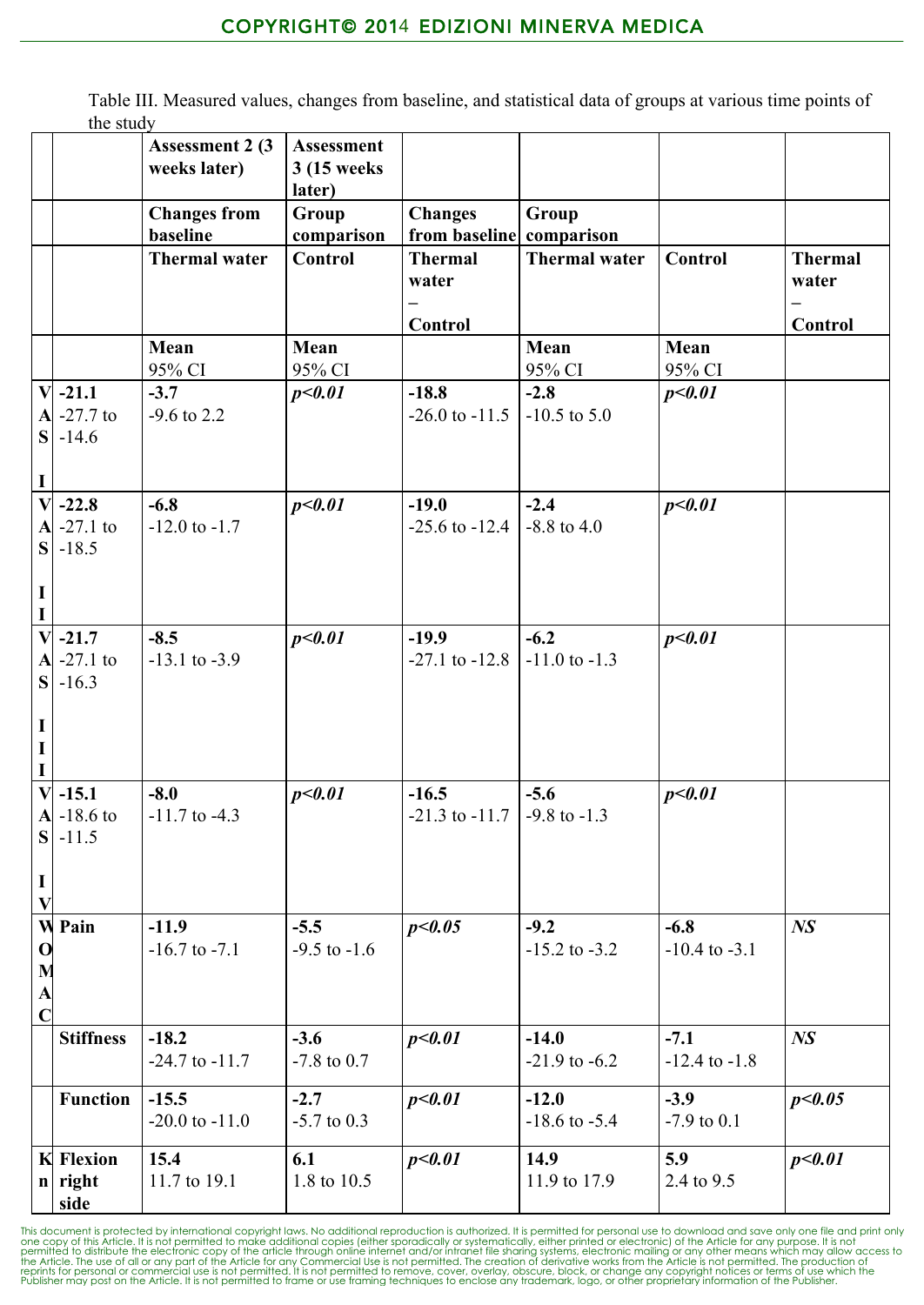Table III. Measured values, changes from baseline, and statistical data of groups at various time points of the study

|                         |                      | <b>Assessment 2 (3)</b> | Assessment             |                               |                           |                   |                |
|-------------------------|----------------------|-------------------------|------------------------|-------------------------------|---------------------------|-------------------|----------------|
|                         |                      | weeks later)            | 3 (15 weeks)<br>later) |                               |                           |                   |                |
|                         |                      | <b>Changes from</b>     | Group                  | <b>Changes</b>                | Group                     |                   |                |
|                         |                      | baseline                | comparison             | from baseline comparison      |                           |                   |                |
|                         |                      | <b>Thermal water</b>    | <b>Control</b>         | <b>Thermal</b>                | <b>Thermal water</b>      | Control           | <b>Thermal</b> |
|                         |                      |                         |                        | water                         |                           |                   | water          |
|                         |                      |                         |                        |                               |                           |                   |                |
|                         |                      | Mean                    | Mean                   | Control                       | Mean                      | Mean              | Control        |
|                         |                      | 95% CI                  | 95% CI                 |                               | 95% CI                    | 95% CI            |                |
|                         | $V - 21.1$           | $-3.7$                  | p<0.01                 | $-18.8$                       | $-2.8$                    | p<0.01            |                |
|                         | $A - 27.7$ to        | $-9.6$ to 2.2           |                        | $-26.0$ to $-11.5$            | $-10.5$ to $5.0$          |                   |                |
|                         | $S$ -14.6            |                         |                        |                               |                           |                   |                |
|                         |                      |                         |                        |                               |                           |                   |                |
| $\mathbf I$             | $\overline{V}$ -22.8 | $-6.8$                  |                        |                               |                           |                   |                |
|                         | $\bf{A}$ -27.1 to    | $-12.0$ to $-1.7$       | p<0.01                 | $-19.0$<br>$-25.6$ to $-12.4$ | $-2.4$<br>$-8.8$ to $4.0$ | p<0.01            |                |
|                         | $S$ -18.5            |                         |                        |                               |                           |                   |                |
|                         |                      |                         |                        |                               |                           |                   |                |
| $\mathbf I$             |                      |                         |                        |                               |                           |                   |                |
| Ī                       |                      |                         |                        |                               |                           |                   |                |
|                         | $V$ -21.7            | $-8.5$                  | p<0.01                 | $-19.9$                       | $-6.2$                    | p<0.01            |                |
|                         | $\bf{A}$ -27.1 to    | $-13.1$ to $-3.9$       |                        | $-27.1$ to $-12.8$            | $-11.0$ to $-1.3$         |                   |                |
|                         | $S$ .16.3            |                         |                        |                               |                           |                   |                |
| $\mathbf I$             |                      |                         |                        |                               |                           |                   |                |
| $\mathbf I$             |                      |                         |                        |                               |                           |                   |                |
|                         |                      |                         |                        |                               |                           |                   |                |
|                         | $V$ -15.1            | $-8.0$                  | p<0.01                 | $-16.5$                       | $-5.6$                    | p<0.01            |                |
|                         | $A - 18.6$ to        | $-11.7$ to $-4.3$       |                        | $-21.3$ to $-11.7$            | $-9.8$ to $-1.3$          |                   |                |
|                         | $S - 11.5$           |                         |                        |                               |                           |                   |                |
| $\mathbf I$             |                      |                         |                        |                               |                           |                   |                |
| $\overline{\mathbf{V}}$ |                      |                         |                        |                               |                           |                   |                |
| $\mathbf{W}$            | Pain                 | $-11.9$                 | $-5.5$                 | p<0.05                        | $-9.2$                    | $-6.8$            | N <sub>S</sub> |
| $\mathbf 0$             |                      | $-16.7$ to $-7.1$       | $-9.5$ to $-1.6$       |                               | $-15.2$ to $-3.2$         | $-10.4$ to $-3.1$ |                |
|                         |                      |                         |                        |                               |                           |                   |                |
| $M$ $A$ $C$             |                      |                         |                        |                               |                           |                   |                |
|                         | <b>Stiffness</b>     | $-18.2$                 | $-3.6$                 | p<0.01                        | $-14.0$                   | $-7.1$            | N <sub>S</sub> |
|                         |                      | $-24.7$ to $-11.7$      | $-7.8$ to 0.7          |                               | $-21.9$ to $-6.2$         | $-12.4$ to $-1.8$ |                |
|                         |                      |                         |                        |                               |                           |                   |                |
|                         | <b>Function</b>      | $-15.5$                 | $-2.7$                 | p<0.01                        | $-12.0$                   | $-3.9$            | p<0.05         |
|                         |                      | $-20.0$ to $-11.0$      | $-5.7$ to 0.3          |                               | $-18.6$ to $-5.4$         | $-7.9$ to 0.1     |                |
|                         | <b>K</b> Flexion     | 15.4                    | 6.1                    | p<0.01                        | 14.9                      | 5.9               | p<0.01         |
|                         | $n$ right            | 11.7 to 19.1            | 1.8 to 10.5            |                               | 11.9 to 17.9              | 2.4 to 9.5        |                |
|                         | side                 |                         |                        |                               |                           |                   |                |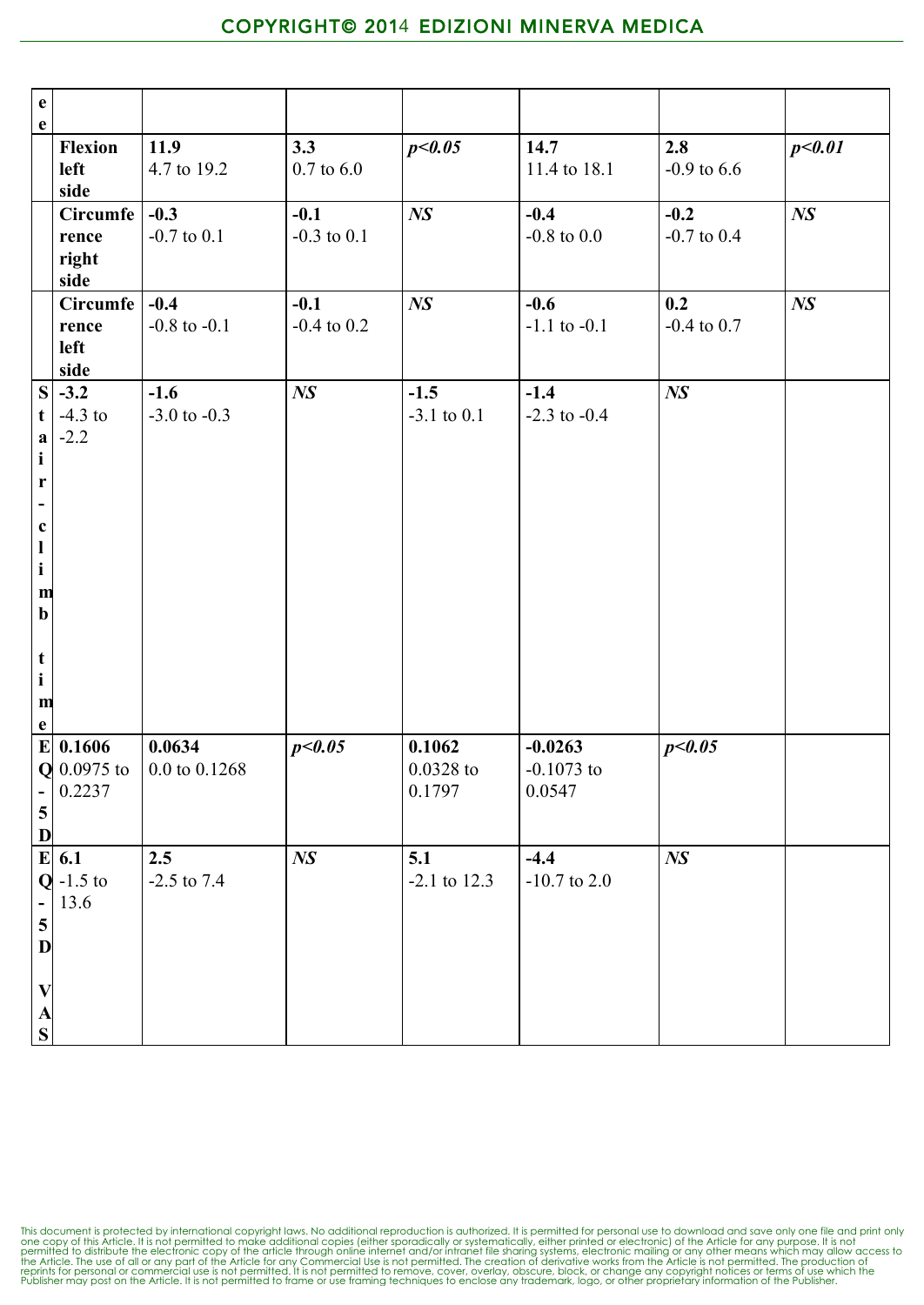| $\mathbf{e}$<br>$\mathbf{e}$                                                                                                                                                                                             |                                           |                               |                           |                                 |                                     |                           |                |
|--------------------------------------------------------------------------------------------------------------------------------------------------------------------------------------------------------------------------|-------------------------------------------|-------------------------------|---------------------------|---------------------------------|-------------------------------------|---------------------------|----------------|
|                                                                                                                                                                                                                          | <b>Flexion</b><br>left<br>side            | 11.9<br>4.7 to 19.2           | 3.3<br>$0.7$ to $6.0\,$   | p<0.05                          | 14.7<br>11.4 to 18.1                | 2.8<br>$-0.9$ to 6.6      | p<0.01         |
|                                                                                                                                                                                                                          | Circumfe $-0.3$<br>rence<br>right<br>side | $-0.7$ to $0.1$               | $-0.1$<br>$-0.3$ to $0.1$ | N <sub>S</sub>                  | $-0.4$<br>-0.8 to $0.0\,$           | $-0.2$<br>$-0.7$ to $0.4$ | N <sub>S</sub> |
|                                                                                                                                                                                                                          | Circumfe<br>rence<br>left<br>side         | $-0.4$<br>$-0.8$ to $-0.1$    | $-0.1$<br>$-0.4$ to $0.2$ | $N\!S$                          | $-0.6$<br>$-1.1$ to $-0.1$          | 0.2<br>$-0.4$ to $0.7$    | $N\!S$         |
| t<br>$\mathbf{a}$<br>$\mathbf{i}$<br>$\mathbf r$<br>$\overline{\phantom{a}}$<br>$\mathbf c$<br>$\mathbf{l}$<br>$\mathbf{i}$<br>$\mathbf{m}$<br>$\mathbf b$<br>$\mathbf t$<br>$\mathbf{i}$<br>$\mathbf{m}$<br>$\mathbf e$ | $S$ -3.2<br>$-4.3$ to<br>$-2.2$           | $-1.6$<br>$-3.0$ to $-0.3$    | N <sub>S</sub>            | $-1.5$<br>$-3.1$ to $0.1$       | $-1.4$<br>$-2.3$ to $-0.4$          | $N\!S$                    |                |
| ÷<br>$\overline{\mathbf{5}}$<br>$\mathbf{D}$                                                                                                                                                                             | $E$ 0.1606<br>$Q$ 0.0975 to<br>0.2237     | 0.0634<br>$0.0$ to $0.1268\,$ | p<0.05                    | 0.1062<br>$0.0328$ to<br>0.1797 | $-0.0263$<br>$-0.1073$ to<br>0.0547 | p<0.05                    |                |
| $\pm$<br>$\overline{\mathbf{5}}$<br>D<br>$\boldsymbol{\mathrm{V}}$<br>$rac{A}{S}$                                                                                                                                        | $E$ 6.1<br>$Q$ -1.5 to<br>13.6            | 2.5<br>$-2.5$ to $7.4$        | $N\!S$                    | 5.1<br>$-2.1$ to 12.3           | $-4.4$<br>$-10.7$ to 2.0            | $N\!S$                    |                |